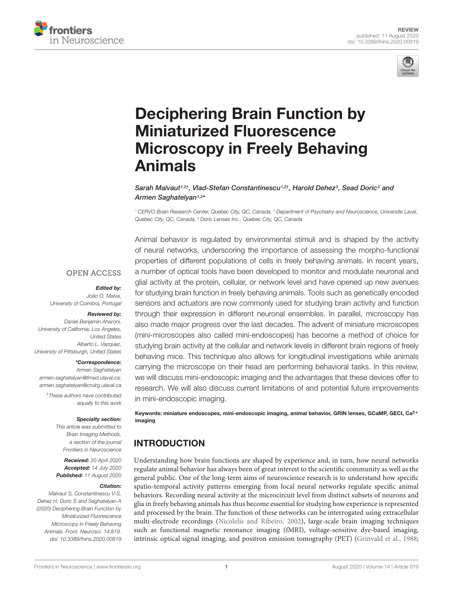



# Deciphering Brain Function by Miniaturized Fluorescence [Microscopy in Freely Behaving](https://www.frontiersin.org/articles/10.3389/fnins.2020.00819/full) Animals

[Sarah Malvaut](http://loop.frontiersin.org/people/958477/overview)1,2†, Vlad-Stefan [Constantinescu](http://loop.frontiersin.org/people/982296/overview)1,2†, [Harold Dehez](http://loop.frontiersin.org/people/995751/overview)3, Sead Doric3 and [Armen Saghatelyan](http://loop.frontiersin.org/people/3901/overview)1,2\*

<sup>1</sup> CERVO Brain Research Center, Quebec City, QC, Canada, <sup>2</sup> Department of Psychiatry and Neuroscience, Universite Laval, Quebec City, QC, Canada, <sup>3</sup> Doric Lenses Inc., Quebec City, QC, Canada

### **OPEN ACCESS**

### Edited by:

João O. Malva, University of Coimbra, Portugal

### Reviewed by:

Daniel Benjamin Aharoni, University of California, Los Angeles, United States Alberto L. Vazquez, University of Pittsburgh, United States

### \*Correspondence:

Armen Saghatelyan armen.saghatelyan@fmed.ulaval.ca; armen.saghatelyan@crulrg.ulaval.ca

†These authors have contributed equally to this work

#### Specialty section:

This article was submitted to Brain Imaging Methods, a section of the journal Frontiers in Neuroscience

Received: 20 April 2020 Accepted: 14 July 2020 Published: 11 August 2020

### Citation:

Malvaut S, Constantinescu V-S, Dehez H, Doric S and Saghatelyan A (2020) Deciphering Brain Function by Miniaturized Fluorescence Microscopy in Freely Behaving Animals. Front. Neurosci. 14:819. doi: [10.3389/fnins.2020.00819](https://doi.org/10.3389/fnins.2020.00819)

Animal behavior is regulated by environmental stimuli and is shaped by the activity of neural networks, underscoring the importance of assessing the morpho-functional properties of different populations of cells in freely behaving animals. In recent years, a number of optical tools have been developed to monitor and modulate neuronal and glial activity at the protein, cellular, or network level and have opened up new avenues for studying brain function in freely behaving animals. Tools such as genetically encoded sensors and actuators are now commonly used for studying brain activity and function through their expression in different neuronal ensembles. In parallel, microscopy has also made major progress over the last decades. The advent of miniature microscopes (mini-microscopes also called mini-endoscopes) has become a method of choice for studying brain activity at the cellular and network levels in different brain regions of freely behaving mice. This technique also allows for longitudinal investigations while animals carrying the microscope on their head are performing behavioral tasks. In this review, we will discuss mini-endoscopic imaging and the advantages that these devices offer to research. We will also discuss current limitations of and potential future improvements in mini-endoscopic imaging.

Keywords: miniature endoscopes, mini-endoscopic imaging, animal behavior, GRIN lenses, GCaMP, GECI, Ca<sup>2+</sup> imaging

# INTRODUCTION

Understanding how brain functions are shaped by experience and, in turn, how neural networks regulate animal behavior has always been of great interest to the scientific community as well as the general public. One of the long-term aims of neuroscience research is to understand how specific spatio-temporal activity patterns emerging from local neural networks regulate specific animal behaviors. Recording neural activity at the microcircuit level from distinct subsets of neurons and glia in freely behaving animals has thus become essential for studying how experience is represented and processed by the brain. The function of these networks can be interrogated using extracellular multi-electrode recordings [\(Nicolelis and Ribeiro,](#page-11-0) [2002\)](#page-11-0), large-scale brain imaging techniques such as functional magnetic resonance imaging (fMRI), voltage-sensitive dye-based imaging, intrinsic optical signal imaging, and positron emission tomography (PET) [\(Grinvald et al.,](#page-10-0) [1988;](#page-10-0)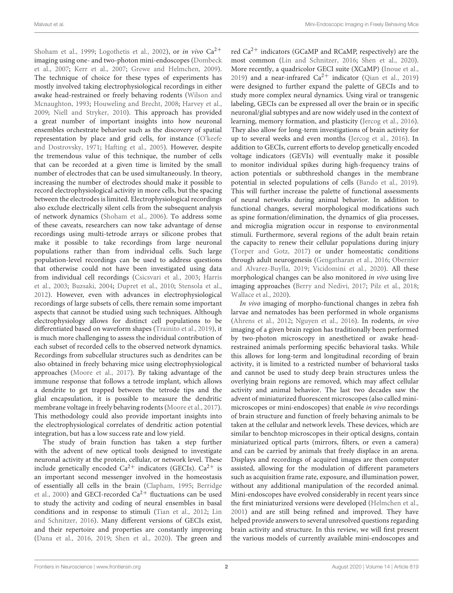[Shoham et al.,](#page-11-1) [1999;](#page-11-1) [Logothetis et al.,](#page-10-1) [2002\)](#page-10-1), or in vivo  $Ca^{2+}$ imaging using one- and two-photon mini-endoscopes [\(Dombeck](#page-10-2) [et al.,](#page-10-2) [2007;](#page-10-2) [Kerr et al.,](#page-10-3) [2007;](#page-10-3) [Grewe and Helmchen,](#page-10-4) [2009\)](#page-10-4). The technique of choice for these types of experiments has mostly involved taking electrophysiological recordings in either awake head-restrained or freely behaving rodents [\(Wilson and](#page-12-0) [Mcnaughton,](#page-12-0) [1993;](#page-12-0) [Houweling and Brecht,](#page-10-5) [2008;](#page-10-5) [Harvey et al.,](#page-10-6) [2009;](#page-10-6) [Niell and Stryker,](#page-11-2) [2010\)](#page-11-2). This approach has provided a great number of important insights into how neuronal ensembles orchestrate behavior such as the discovery of spatial representation by place and grid cells, for instance [\(O'keefe](#page-11-3) [and Dostrovsky,](#page-11-3) [1971;](#page-11-3) [Hafting et al.,](#page-10-7) [2005\)](#page-10-7). However, despite the tremendous value of this technique, the number of cells that can be recorded at a given time is limited by the small number of electrodes that can be used simultaneously. In theory, increasing the number of electrodes should make it possible to record electrophysiological activity in more cells, but the spacing between the electrodes is limited. Electrophysiological recordings also exclude electrically silent cells from the subsequent analysis of network dynamics [\(Shoham et al.,](#page-11-4) [2006\)](#page-11-4). To address some of these caveats, researchers can now take advantage of dense recordings using multi-tetrode arrays or silicone probes that make it possible to take recordings from large neuronal populations rather than from individual cells. Such large population-level recordings can be used to address questions that otherwise could not have been investigated using data from individual cell recordings [\(Csicsvari et al.,](#page-9-0) [2003;](#page-9-0) [Harris](#page-10-8) [et al.,](#page-10-8) [2003;](#page-10-8) [Buzsaki,](#page-9-1) [2004;](#page-9-1) [Dupret et al.,](#page-10-9) [2010;](#page-10-9) [Stensola et al.,](#page-11-5) [2012\)](#page-11-5). However, even with advances in electrophysiological recordings of large subsets of cells, there remain some important aspects that cannot be studied using such techniques. Although electrophysiology allows for distinct cell populations to be differentiated based on waveform shapes [\(Trainito et al.,](#page-12-1) [2019\)](#page-12-1), it is much more challenging to assess the individual contribution of each subset of recorded cells to the observed network dynamics. Recordings from subcellular structures such as dendrites can be also obtained in freely behaving mice using electrophysiological approaches [\(Moore et al.,](#page-11-6) [2017\)](#page-11-6). By taking advantage of the immune response that follows a tetrode implant, which allows a dendrite to get trapped between the tetrode tips and the glial encapsulation, it is possible to measure the dendritic membrane voltage in freely behaving rodents [\(Moore et al.,](#page-11-6) [2017\)](#page-11-6). This methodology could also provide important insights into the electrophysiological correlates of dendritic action potential integration, but has a low success rate and low yield.

The study of brain function has taken a step further with the advent of new optical tools designed to investigate neuronal activity at the protein, cellular, or network level. These include genetically encoded  $Ca^{2+}$  indicators (GECIs).  $Ca^{2+}$  is an important second messenger involved in the homeostasis of essentially all cells in the brain [\(Clapham,](#page-9-2) [1995;](#page-9-2) [Berridge](#page-9-3) [et al.,](#page-9-3) [2000\)](#page-9-3) and GECI-recorded Ca<sup>2+</sup> fluctuations can be used to study the activity and coding of neural ensembles in basal conditions and in response to stimuli [\(Tian et al.,](#page-11-7) [2012;](#page-11-7) [Lin](#page-10-10) [and Schnitzer,](#page-10-10) [2016\)](#page-10-10). Many different versions of GECIs exist, and their repertoire and properties are constantly improving [\(Dana et al.,](#page-9-4) [2016,](#page-9-4) [2019;](#page-9-5) [Shen et al.,](#page-11-8) [2020\)](#page-11-8). The green and

red  $Ca^{2+}$  indicators (GCaMP and RCaMP, respectively) are the most common [\(Lin and Schnitzer,](#page-10-10) [2016;](#page-10-10) [Shen et al.,](#page-11-8) [2020\)](#page-11-8). More recently, a quadricolor GECI suite (XCaMP) [\(Inoue et al.,](#page-10-11) [2019\)](#page-11-9) and a near-infrared  $Ca^{2+}$  indicator [\(Qian et al.,](#page-11-9) 2019) were designed to further expand the palette of GECIs and to study more complex neural dynamics. Using viral or transgenic labeling, GECIs can be expressed all over the brain or in specific neuronal/glial subtypes and are now widely used in the context of learning, memory formation, and plasticity [\(Jercog et al.,](#page-10-12) [2016\)](#page-10-12). They also allow for long-term investigations of brain activity for up to several weeks and even months [\(Jercog et al.,](#page-10-12) [2016\)](#page-10-12). In addition to GECIs, current efforts to develop genetically encoded voltage indicators (GEVIs) will eventually make it possible to monitor individual spikes during high-frequency trains of action potentials or subthreshold changes in the membrane potential in selected populations of cells [\(Bando et al.,](#page-9-6) [2019\)](#page-9-6). This will further increase the palette of functional assessments of neural networks during animal behavior. In addition to functional changes, several morphological modifications such as spine formation/elimination, the dynamics of glia processes, and microglia migration occur in response to environmental stimuli. Furthermore, several regions of the adult brain retain the capacity to renew their cellular populations during injury [\(Torper and Gotz,](#page-11-10) [2017\)](#page-11-10) or under homeostatic conditions through adult neurogenesis [\(Gengatharan et al.,](#page-10-13) [2016;](#page-10-13) [Obernier](#page-11-11) [and Alvarez-Buylla,](#page-11-11) [2019;](#page-11-11) [Vicidomini et al.,](#page-12-2) [2020\)](#page-12-2). All these morphological changes can be also monitored in vivo using live imaging approaches [\(Berry and Nedivi,](#page-9-7) [2017;](#page-9-7) [Pilz et al.,](#page-11-12) [2018;](#page-11-12) [Wallace et al.,](#page-12-3) [2020\)](#page-12-3).

In vivo imaging of morpho-functional changes in zebra fish larvae and nematodes has been performed in whole organisms [\(Ahrens et al.,](#page-9-8) [2012;](#page-9-8) [Nguyen et al.,](#page-11-13) [2016\)](#page-11-13). In rodents, in vivo imaging of a given brain region has traditionally been performed by two-photon microscopy in anesthetized or awake headrestrained animals performing specific behavioral tasks. While this allows for long-term and longitudinal recording of brain activity, it is limited to a restricted number of behavioral tasks and cannot be used to study deep brain structures unless the overlying brain regions are removed, which may affect cellular activity and animal behavior. The last two decades saw the advent of miniaturized fluorescent microscopes (also called minimicroscopes or mini-endoscopes) that enable in vivo recordings of brain structure and function of freely behaving animals to be taken at the cellular and network levels. These devices, which are similar to benchtop microscopes in their optical designs, contain miniaturized optical parts (mirrors, filters, or even a camera) and can be carried by animals that freely displace in an arena. Displays and recordings of acquired images are then computer assisted, allowing for the modulation of different parameters such as acquisition frame rate, exposure, and illumination power, without any additional manipulation of the recorded animal. Mini-endoscopes have evolved considerably in recent years since the first miniaturized versions were developed [\(Helmchen et al.,](#page-10-14) [2001\)](#page-10-14) and are still being refined and improved. They have helped provide answers to several unresolved questions regarding brain activity and structure. In this review, we will first present the various models of currently available mini-endoscopes and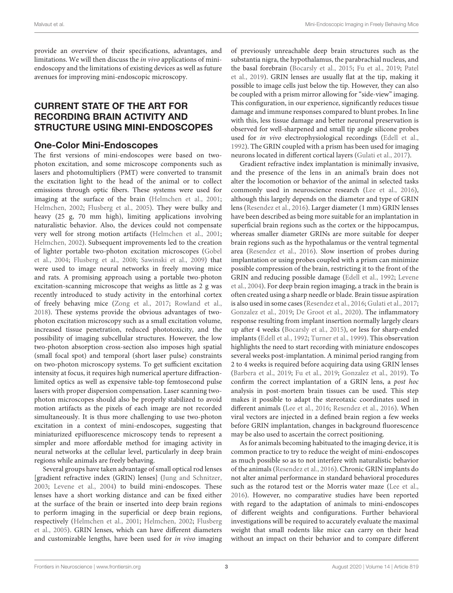provide an overview of their specifications, advantages, and limitations. We will then discuss the in vivo applications of miniendoscopy and the limitations of existing devices as well as future avenues for improving mini-endoscopic microscopy.

# CURRENT STATE OF THE ART FOR RECORDING BRAIN ACTIVITY AND STRUCTURE USING MINI-ENDOSCOPES

### One-Color Mini-Endoscopes

The first versions of mini-endoscopes were based on twophoton excitation, and some microscope components such as lasers and photomultipliers (PMT) were converted to transmit the excitation light to the head of the animal or to collect emissions through optic fibers. These systems were used for imaging at the surface of the brain [\(Helmchen et al.,](#page-10-14) [2001;](#page-10-14) [Helmchen,](#page-10-15) [2002;](#page-10-15) [Flusberg et al.,](#page-10-16) [2005\)](#page-10-16). They were bulky and heavy (25 g, 70 mm high), limiting applications involving naturalistic behavior. Also, the devices could not compensate very well for strong motion artifacts [\(Helmchen et al.,](#page-10-14) [2001;](#page-10-14) [Helmchen,](#page-10-15) [2002\)](#page-10-15). Subsequent improvements led to the creation of lighter portable two-photon excitation microscopes [\(Gobel](#page-10-17) [et al.,](#page-10-17) [2004;](#page-10-17) [Flusberg et al.,](#page-10-18) [2008;](#page-10-18) [Sawinski et al.,](#page-11-14) [2009\)](#page-11-14) that were used to image neural networks in freely moving mice and rats. A promising approach using a portable two-photon excitation-scanning microscope that weighs as little as 2 g was recently introduced to study activity in the entorhinal cortex of freely behaving mice [\(Zong et al.,](#page-12-4) [2017;](#page-12-4) [Rowland et al.,](#page-11-15) [2018\)](#page-11-15). These systems provide the obvious advantages of twophoton excitation microscopy such as a small excitation volume, increased tissue penetration, reduced phototoxicity, and the possibility of imaging subcellular structures. However, the low two-photon absorption cross-section also imposes high spatial (small focal spot) and temporal (short laser pulse) constraints on two-photon microscopy systems. To get sufficient excitation intensity at focus, it requires high numerical aperture diffractionlimited optics as well as expensive table-top femtosecond pulse lasers with proper dispersion compensation. Laser scanning twophoton microscopes should also be properly stabilized to avoid motion artifacts as the pixels of each image are not recorded simultaneously. It is thus more challenging to use two-photon excitation in a context of mini-endoscopes, suggesting that miniaturized epifluorescence microscopy tends to represent a simpler and more affordable method for imaging activity in neural networks at the cellular level, particularly in deep brain regions while animals are freely behaving.

Several groups have taken advantage of small optical rod lenses [gradient refractive index (GRIN) lenses] [\(Jung and Schnitzer,](#page-10-19) [2003;](#page-10-19) [Levene et al.,](#page-10-20) [2004\)](#page-10-20) to build mini-endoscopes. These lenses have a short working distance and can be fixed either at the surface of the brain or inserted into deep brain regions to perform imaging in the superficial or deep brain regions, respectively [\(Helmchen et al.,](#page-10-14) [2001;](#page-10-14) [Helmchen,](#page-10-15) [2002;](#page-10-15) [Flusberg](#page-10-16) [et al.,](#page-10-16) [2005\)](#page-10-16). GRIN lenses, which can have different diameters and customizable lengths, have been used for in vivo imaging of previously unreachable deep brain structures such as the substantia nigra, the hypothalamus, the parabrachial nucleus, and the basal forebrain [\(Bocarsly et al.,](#page-9-9) [2015;](#page-9-9) [Fu et al.,](#page-10-21) [2019;](#page-10-21) [Patel](#page-11-16) [et al.,](#page-11-16) [2019\)](#page-11-16). GRIN lenses are usually flat at the tip, making it possible to image cells just below the tip. However, they can also be coupled with a prism mirror allowing for "side-view" imaging. This configuration, in our experience, significantly reduces tissue damage and immune responses compared to blunt probes. In line with this, less tissue damage and better neuronal preservation is observed for well-sharpened and small tip angle silicone probes used for in vivo electrophysiological recordings [\(Edell et al.,](#page-10-22) [1992\)](#page-10-22). The GRIN coupled with a prism has been used for imaging neurons located in different cortical layers [\(Gulati et al.,](#page-10-23) [2017\)](#page-10-23).

Gradient refractive index implantation is minimally invasive, and the presence of the lens in an animal's brain does not alter the locomotion or behavior of the animal in selected tasks commonly used in neuroscience research [\(Lee et al.,](#page-10-24) [2016\)](#page-10-24), although this largely depends on the diameter and type of GRIN lens [\(Resendez et al.,](#page-11-17) [2016\)](#page-11-17). Larger diameter (1 mm) GRIN lenses have been described as being more suitable for an implantation in superficial brain regions such as the cortex or the hippocampus, whereas smaller diameter GRINs are more suitable for deeper brain regions such as the hypothalamus or the ventral tegmental area [\(Resendez et al.,](#page-11-17) [2016\)](#page-11-17). Slow insertion of probes during implantation or using probes coupled with a prism can minimize possible compression of the brain, restricting it to the front of the GRIN and reducing possible damage [\(Edell et al.,](#page-10-22) [1992;](#page-10-22) [Levene](#page-10-20) [et al.,](#page-10-20) [2004\)](#page-10-20). For deep brain region imaging, a track in the brain is often created using a sharp needle or blade. Brain tissue aspiration is also used in some cases [\(Resendez et al.,](#page-11-17) [2016;](#page-11-17) [Gulati et al.,](#page-10-23) [2017;](#page-10-23) [Gonzalez et al.,](#page-10-25) [2019;](#page-10-25) [De Groot et al.,](#page-9-10) [2020\)](#page-9-10). The inflammatory response resulting from implant insertion normally largely clears up after 4 weeks [\(Bocarsly et al.,](#page-9-9) [2015\)](#page-9-9), or less for sharp-ended implants [\(Edell et al.,](#page-10-22) [1992;](#page-10-22) [Turner et al.,](#page-12-5) [1999\)](#page-12-5). This observation highlights the need to start recording with miniature endoscopes several weeks post-implantation. A minimal period ranging from 2 to 4 weeks is required before acquiring data using GRIN lenses [\(Barbera et al.,](#page-9-11) [2019;](#page-9-11) [Fu et al.,](#page-10-21) [2019;](#page-10-21) [Gonzalez et al.,](#page-10-25) [2019\)](#page-10-25). To confirm the correct implantation of a GRIN lens, a post hoc analysis in post-mortem brain tissues can be used. This step makes it possible to adapt the stereotaxic coordinates used in different animals [\(Lee et al.,](#page-10-24) [2016;](#page-10-24) [Resendez et al.,](#page-11-17) [2016\)](#page-11-17). When viral vectors are injected in a defined brain region a few weeks before GRIN implantation, changes in background fluorescence may be also used to ascertain the correct positioning.

As for animals becoming habituated to the imaging device, it is common practice to try to reduce the weight of mini-endoscopes as much possible so as to not interfere with naturalistic behavior of the animals [\(Resendez et al.,](#page-11-17) [2016\)](#page-11-17). Chronic GRIN implants do not alter animal performance in standard behavioral procedures such as the rotarod test or the Morris water maze [\(Lee et al.,](#page-10-24) [2016\)](#page-10-24). However, no comparative studies have been reported with regard to the adaptation of animals to mini-endoscopes of different weights and configurations. Further behavioral investigations will be required to accurately evaluate the maximal weight that small rodents like mice can carry on their head without an impact on their behavior and to compare different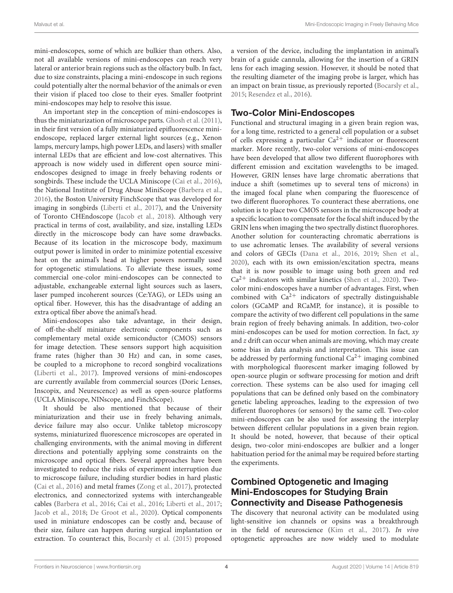mini-endoscopes, some of which are bulkier than others. Also, not all available versions of mini-endoscopes can reach very lateral or anterior brain regions such as the olfactory bulb. In fact, due to size constraints, placing a mini-endoscope in such regions could potentially alter the normal behavior of the animals or even their vision if placed too close to their eyes. Smaller footprint mini-endoscopes may help to resolve this issue.

An important step in the conception of mini-endoscopes is thus the miniaturization of microscope parts. [Ghosh et al.](#page-10-26) [\(2011\)](#page-10-26), in their first version of a fully miniaturized epifluorescence miniendoscope, replaced larger external light sources (e.g., Xenon lamps, mercury lamps, high power LEDs, and lasers) with smaller internal LEDs that are efficient and low-cost alternatives. This approach is now widely used in different open source miniendoscopes designed to image in freely behaving rodents or songbirds. These include the UCLA Miniscope [\(Cai et al.,](#page-9-12) [2016\)](#page-9-12), the National Institute of Drug Abuse MiniScope [\(Barbera et al.,](#page-9-13) [2016\)](#page-9-13), the Boston University FinchScope that was developed for imaging in songbirds [\(Liberti et al.,](#page-10-27) [2017\)](#page-10-27), and the University of Toronto CHEndoscope [\(Jacob et al.,](#page-10-28) [2018\)](#page-10-28). Although very practical in terms of cost, availability, and size, installing LEDs directly in the microscope body can have some drawbacks. Because of its location in the microscope body, maximum output power is limited in order to minimize potential excessive heat on the animal's head at higher powers normally used for optogenetic stimulations. To alleviate these issues, some commercial one-color mini-endoscopes can be connected to adjustable, exchangeable external light sources such as lasers, laser pumped incoherent sources (Ce:YAG), or LEDs using an optical fiber. However, this has the disadvantage of adding an extra optical fiber above the animal's head.

Mini-endoscopes also take advantage, in their design, of off-the-shelf miniature electronic components such as complementary metal oxide semiconductor (CMOS) sensors for image detection. These sensors support high acquisition frame rates (higher than 30 Hz) and can, in some cases, be coupled to a microphone to record songbird vocalizations [\(Liberti et al.,](#page-10-27) [2017\)](#page-10-27). Improved versions of mini-endoscopes are currently available from commercial sources (Doric Lenses, Inscopix, and Neurescence) as well as open-source platforms (UCLA Miniscope, NINscope, and FinchScope).

It should be also mentioned that because of their miniaturization and their use in freely behaving animals, device failure may also occur. Unlike tabletop microscopy systems, miniaturized fluorescence microscopes are operated in challenging environments, with the animal moving in different directions and potentially applying some constraints on the microscope and optical fibers. Several approaches have been investigated to reduce the risks of experiment interruption due to microscope failure, including sturdier bodies in hard plastic [\(Cai et al.,](#page-9-12) [2016\)](#page-9-12) and metal frames [\(Zong et al.,](#page-12-4) [2017\)](#page-12-4), protected electronics, and connectorized systems with interchangeable cables [\(Barbera et al.,](#page-9-13) [2016;](#page-9-13) [Cai et al.,](#page-9-12) [2016;](#page-9-12) [Liberti et al.,](#page-10-27) [2017;](#page-10-27) [Jacob et al.,](#page-10-28) [2018;](#page-10-28) [De Groot et al.,](#page-9-10) [2020\)](#page-9-10). Optical components used in miniature endoscopes can be costly and, because of their size, failure can happen during surgical implantation or extraction. To counteract this, [Bocarsly et al.](#page-9-9) [\(2015\)](#page-9-9) proposed

a version of the device, including the implantation in animal's brain of a guide cannula, allowing for the insertion of a GRIN lens for each imaging session. However, it should be noted that the resulting diameter of the imaging probe is larger, which has an impact on brain tissue, as previously reported [\(Bocarsly et al.,](#page-9-9) [2015;](#page-9-9) [Resendez et al.,](#page-11-17) [2016\)](#page-11-17).

# Two-Color Mini-Endoscopes

Functional and structural imaging in a given brain region was, for a long time, restricted to a general cell population or a subset of cells expressing a particular  $Ca^{2+}$  indicator or fluorescent marker. More recently, two-color versions of mini-endoscopes have been developed that allow two different fluorophores with different emission and excitation wavelengths to be imaged. However, GRIN lenses have large chromatic aberrations that induce a shift (sometimes up to several tens of microns) in the imaged focal plane when comparing the fluorescence of two different fluorophores. To counteract these aberrations, one solution is to place two CMOS sensors in the microscope body at a specific location to compensate for the focal shift induced by the GRIN lens when imaging the two spectrally distinct fluorophores. Another solution for counteracting chromatic aberrations is to use achromatic lenses. The availability of several versions and colors of GECIs [\(Dana et al.,](#page-9-4) [2016,](#page-9-4) [2019;](#page-9-5) [Shen et al.,](#page-11-8) [2020\)](#page-11-8), each with its own emission/excitation spectra, means that it is now possible to image using both green and red  $Ca<sup>2+</sup>$  indicators with similar kinetics [\(Shen et al.,](#page-11-8) [2020\)](#page-11-8). Twocolor mini-endoscopes have a number of advantages. First, when combined with  $Ca<sup>2+</sup>$  indicators of spectrally distinguishable colors (GCaMP and RCaMP, for instance), it is possible to compare the activity of two different cell populations in the same brain region of freely behaving animals. In addition, two-color mini-endoscopes can be used for motion correction. In fact,  $xy$ and z drift can occur when animals are moving, which may create some bias in data analysis and interpretation. This issue can be addressed by performing functional  $Ca^{2+}$  imaging combined with morphological fluorescent marker imaging followed by open-source plugin or software processing for motion and drift correction. These systems can be also used for imaging cell populations that can be defined only based on the combinatory genetic labeling approaches, leading to the expression of two different fluorophores (or sensors) by the same cell. Two-color mini-endoscopes can be also used for assessing the interplay between different cellular populations in a given brain region. It should be noted, however, that because of their optical design, two-color mini-endoscopes are bulkier and a longer habituation period for the animal may be required before starting the experiments.

# Combined Optogenetic and Imaging Mini-Endoscopes for Studying Brain Connectivity and Disease Pathogenesis

The discovery that neuronal activity can be modulated using light-sensitive ion channels or opsins was a breakthrough in the field of neuroscience [\(Kim et al.,](#page-10-29) [2017\)](#page-10-29). In vivo optogenetic approaches are now widely used to modulate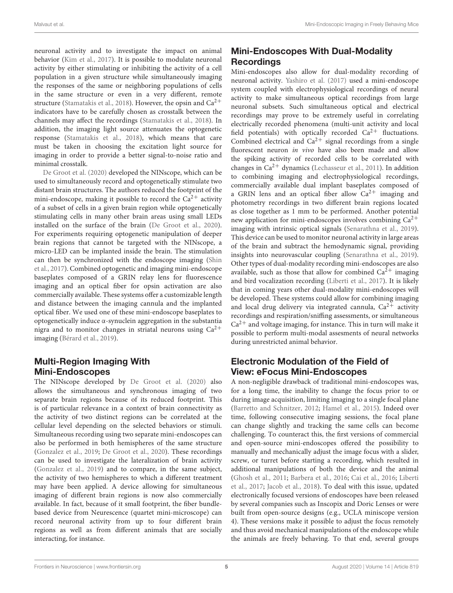neuronal activity and to investigate the impact on animal behavior [\(Kim et al.,](#page-10-29) [2017\)](#page-10-29). It is possible to modulate neuronal activity by either stimulating or inhibiting the activity of a cell population in a given structure while simultaneously imaging the responses of the same or neighboring populations of cells in the same structure or even in a very different, remote structure [\(Stamatakis et al.,](#page-11-18) [2018\)](#page-11-18). However, the opsin and  $Ca^{2+}$ indicators have to be carefully chosen as crosstalk between the channels may affect the recordings [\(Stamatakis et al.,](#page-11-18) [2018\)](#page-11-18). In addition, the imaging light source attenuates the optogenetic response [\(Stamatakis et al.,](#page-11-18) [2018\)](#page-11-18), which means that care must be taken in choosing the excitation light source for imaging in order to provide a better signal-to-noise ratio and minimal crosstalk.

[De Groot et al.](#page-9-10) [\(2020\)](#page-9-10) developed the NINscope, which can be used to simultaneously record and optogenetically stimulate two distant brain structures. The authors reduced the footprint of the mini-endoscope, making it possible to record the  $Ca^{2+}$  activity of a subset of cells in a given brain region while optogenetically stimulating cells in many other brain areas using small LEDs installed on the surface of the brain [\(De Groot et al.,](#page-9-10) [2020\)](#page-9-10). For experiments requiring optogenetic manipulation of deeper brain regions that cannot be targeted with the NINscope, a micro-LED can be implanted inside the brain. The stimulation can then be synchronized with the endoscope imaging [\(Shin](#page-11-19) [et al.,](#page-11-19) [2017\)](#page-11-19). Combined optogenetic and imaging mini-endoscope baseplates composed of a GRIN relay lens for fluorescence imaging and an optical fiber for opsin activation are also commercially available. These systems offer a customizable length and distance between the imaging cannula and the implanted optical fiber. We used one of these mini-endoscope baseplates to optogenetically induce α-synuclein aggregation in the substantia nigra and to monitor changes in striatal neurons using  $Ca^{2+}$ imaging [\(Bérard et al.,](#page-9-14) [2019\)](#page-9-14).

# Multi-Region Imaging With Mini-Endoscopes

The NINscope developed by [De Groot et al.](#page-9-10) [\(2020\)](#page-9-10) also allows the simultaneous and synchronous imaging of two separate brain regions because of its reduced footprint. This is of particular relevance in a context of brain connectivity as the activity of two distinct regions can be correlated at the cellular level depending on the selected behaviors or stimuli. Simultaneous recording using two separate mini-endoscopes can also be performed in both hemispheres of the same structure [\(Gonzalez et al.,](#page-10-25) [2019;](#page-10-25) [De Groot et al.,](#page-9-10) [2020\)](#page-9-10). These recordings can be used to investigate the lateralization of brain activity [\(Gonzalez et al.,](#page-10-25) [2019\)](#page-10-25) and to compare, in the same subject, the activity of two hemispheres to which a different treatment may have been applied. A device allowing for simultaneous imaging of different brain regions is now also commercially available. In fact, because of it small footprint, the fiber bundlebased device from Neurescence (quartet mini-microscope) can record neuronal activity from up to four different brain regions as well as from different animals that are socially interacting, for instance.

# Mini-Endoscopes With Dual-Modality **Recordings**

Mini-endoscopes also allow for dual-modality recording of neuronal activity. [Yashiro et al.](#page-12-6) [\(2017\)](#page-12-6) used a mini-endoscope system coupled with electrophysiological recordings of neural activity to make simultaneous optical recordings from large neuronal subsets. Such simultaneous optical and electrical recordings may prove to be extremely useful in correlating electrically recorded phenomena (multi-unit activity and local field potentials) with optically recorded  $Ca^{2+}$  fluctuations. Combined electrical and  $Ca^{2+}$  signal recordings from a single fluorescent neuron in vivo have also been made and allow the spiking activity of recorded cells to be correlated with changes in  $Ca^{2+}$  dynamics [\(Lechasseur et al.,](#page-10-30) [2011\)](#page-10-30). In addition to combining imaging and electrophysiological recordings, commercially available dual implant baseplates composed of a GRIN lens and an optical fiber allow  $Ca^{2+}$  imaging and photometry recordings in two different brain regions located as close together as 1 mm to be performed. Another potential new application for mini-endoscopes involves combining  $Ca^{2+}$ imaging with intrinsic optical signals [\(Senarathna et al.,](#page-11-20) [2019\)](#page-11-20). This device can be used to monitor neuronal activity in large areas of the brain and subtract the hemodynamic signal, providing insights into neurovascular coupling [\(Senarathna et al.,](#page-11-20) [2019\)](#page-11-20). Other types of dual-modality recording mini-endoscopes are also available, such as those that allow for combined  $Ca^{2+}$  imaging and bird vocalization recording [\(Liberti et al.,](#page-10-27) [2017\)](#page-10-27). It is likely that in coming years other dual-modality mini-endoscopes will be developed. These systems could allow for combining imaging and local drug delivery via integrated cannula,  $Ca^{2+}$  activity recordings and respiration/sniffing assessments, or simultaneous  $Ca<sup>2+</sup>$  and voltage imaging, for instance. This in turn will make it possible to perform multi-modal assesments of neural networks during unrestricted animal behavior.

# Electronic Modulation of the Field of View: eFocus Mini-Endoscopes

A non-negligible drawback of traditional mini-endoscopes was, for a long time, the inability to change the focus prior to or during image acquisition, limiting imaging to a single focal plane [\(Barretto and Schnitzer,](#page-9-15) [2012;](#page-9-15) [Hamel et al.,](#page-10-31) [2015\)](#page-10-31). Indeed over time, following consecutive imaging sessions, the focal plane can change slightly and tracking the same cells can become challenging. To counteract this, the first versions of commercial and open-source mini-endoscopes offered the possibility to manually and mechanically adjust the image focus with a slider, screw, or turret before starting a recording, which resulted in additional manipulations of both the device and the animal [\(Ghosh et al.,](#page-10-26) [2011;](#page-10-26) [Barbera et al.,](#page-9-13) [2016;](#page-9-13) [Cai et al.,](#page-9-12) [2016;](#page-9-12) [Liberti](#page-10-27) [et al.,](#page-10-27) [2017;](#page-10-27) [Jacob et al.,](#page-10-28) [2018\)](#page-10-28). To deal with this issue, updated electronically focused versions of endoscopes have been released by several companies such as Inscopix and Doric Lenses or were built from open-source designs (e.g., UCLA miniscope version 4). These versions make it possible to adjust the focus remotely and thus avoid mechanical manipulations of the endoscope while the animals are freely behaving. To that end, several groups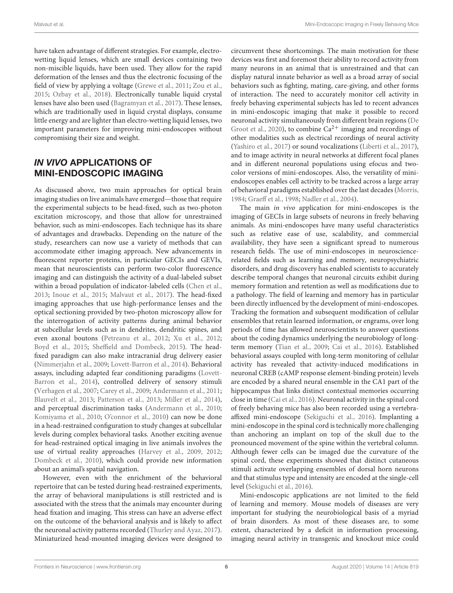have taken advantage of different strategies. For example, electrowetting liquid lenses, which are small devices containing two non-miscible liquids, have been used. They allow for the rapid deformation of the lenses and thus the electronic focusing of the field of view by applying a voltage [\(Grewe et al.,](#page-10-32) [2011;](#page-10-32) [Zou et al.,](#page-12-7) [2015;](#page-12-7) [Ozbay et al.,](#page-11-21) [2018\)](#page-11-21). Electronically tunable liquid crystal lenses have also been used [\(Bagramyan et al.,](#page-9-16) [2017\)](#page-9-16). These lenses, which are traditionally used in liquid crystal displays, consume little energy and are lighter than electro-wetting liquid lenses, two important parameters for improving mini-endoscopes without compromising their size and weight.

# IN VIVO APPLICATIONS OF MINI-ENDOSCOPIC IMAGING

As discussed above, two main approaches for optical brain imaging studies on live animals have emerged—those that require the experimental subjects to be head-fixed, such as two-photon excitation microscopy, and those that allow for unrestrained behavior, such as mini-endoscopes. Each technique has its share of advantages and drawbacks. Depending on the nature of the study, researchers can now use a variety of methods that can accommodate either imaging approach. New advancements in fluorescent reporter proteins, in particular GECIs and GEVIs, mean that neuroscientists can perform two-color fluorescence imaging and can distinguish the activity of a dual-labeled subset within a broad population of indicator-labeled cells [\(Chen et al.,](#page-9-17) [2013;](#page-9-17) [Inoue et al.,](#page-10-33) [2015;](#page-10-33) [Malvaut et al.,](#page-11-22) [2017\)](#page-11-22). The head-fixed imaging approaches that use high-performance lenses and the optical sectioning provided by two-photon microscopy allow for the interrogation of activity patterns during animal behavior at subcellular levels such as in dendrites, dendritic spines, and even axonal boutons [\(Petreanu et al.,](#page-11-23) [2012;](#page-11-23) [Xu et al.,](#page-12-8) [2012;](#page-12-8) [Boyd et al.,](#page-9-18) [2015;](#page-9-18) [Sheffield and Dombeck,](#page-11-24) [2015\)](#page-11-24). The headfixed paradigm can also make intracranial drug delivery easier [\(Nimmerjahn et al.,](#page-11-25) [2009;](#page-11-25) [Lovett-Barron et al.,](#page-11-26) [2014\)](#page-11-26). Behavioral assays, including adapted fear conditioning paradigms [\(Lovett-](#page-11-26)[Barron et al.,](#page-11-26) [2014\)](#page-11-26), controlled delivery of sensory stimuli [\(Verhagen et al.,](#page-12-9) [2007;](#page-12-9) [Carey et al.,](#page-9-19) [2009;](#page-9-19) [Andermann et al.,](#page-9-20) [2011;](#page-9-20) [Blauvelt et al.,](#page-9-21) [2013;](#page-9-21) [Patterson et al.,](#page-11-27) [2013;](#page-11-27) [Miller et al.,](#page-11-28) [2014\)](#page-11-28), and perceptual discrimination tasks [\(Andermann et al.,](#page-9-22) [2010;](#page-9-22) [Komiyama et al.,](#page-10-34) [2010;](#page-10-34) [O'connor et al.,](#page-11-29) [2010\)](#page-11-29) can now be done in a head-restrained configuration to study changes at subcellular levels during complex behavioral tasks. Another exciting avenue for head-restrained optical imaging in live animals involves the use of virtual reality approaches [\(Harvey et al.,](#page-10-6) [2009,](#page-10-6) [2012;](#page-10-35) [Dombeck et al.,](#page-10-36) [2010\)](#page-10-36), which could provide new information about an animal's spatial navigation.

However, even with the enrichment of the behavioral repertoire that can be tested during head-restrained experiments, the array of behavioral manipulations is still restricted and is associated with the stress that the animals may encounter during head fixation and imaging. This stress can have an adverse effect on the outcome of the behavioral analysis and is likely to affect the neuronal activity patterns recorded [\(Thurley and Ayaz,](#page-11-30) [2017\)](#page-11-30). Miniaturized head-mounted imaging devices were designed to

circumvent these shortcomings. The main motivation for these devices was first and foremost their ability to record activity from many neurons in an animal that is unrestrained and that can display natural innate behavior as well as a broad array of social behaviors such as fighting, mating, care-giving, and other forms of interaction. The need to accurately monitor cell activity in freely behaving experimental subjects has led to recent advances in mini-endoscopic imaging that make it possible to record neuronal activity simultaneously from different brain regions [\(De](#page-9-10) [Groot et al.,](#page-9-10) [2020\)](#page-9-10), to combine  $Ca^{2+}$  imaging and recordings of other modalities such as electrical recordings of neural activity [\(Yashiro et al.,](#page-12-6) [2017\)](#page-12-6) or sound vocalizations [\(Liberti et al.,](#page-10-27) [2017\)](#page-10-27), and to image activity in neural networks at different focal planes and in different neuronal populations using efocus and twocolor versions of mini-endoscopes. Also, the versatility of miniendoscopes enables cell activity to be tracked across a large array of behavioral paradigms established over the last decades [\(Morris,](#page-11-31) [1984;](#page-11-31) [Graeff et al.,](#page-10-37) [1998;](#page-10-37) [Nadler et al.,](#page-11-32) [2004\)](#page-11-32).

The main in vivo application for mini-endoscopes is the imaging of GECIs in large subsets of neurons in freely behaving animals. As mini-endoscopes have many useful characteristics such as relative ease of use, scalability, and commercial availability, they have seen a significant spread to numerous research fields. The use of mini-endoscopes in neurosciencerelated fields such as learning and memory, neuropsychiatric disorders, and drug discovery has enabled scientists to accurately describe temporal changes that neuronal circuits exhibit during memory formation and retention as well as modifications due to a pathology. The field of learning and memory has in particular been directly influenced by the development of mini-endoscopes. Tracking the formation and subsequent modification of cellular ensembles that retain learned information, or engrams, over long periods of time has allowed neuroscientists to answer questions about the coding dynamics underlying the neurobiology of longterm memory [\(Tian et al.,](#page-11-33) [2009;](#page-11-33) [Cai et al.,](#page-9-12) [2016\)](#page-9-12). Established behavioral assays coupled with long-term monitoring of cellular activity has revealed that activity-induced modifications in neuronal CREB (cAMP response element-binding protein) levels are encoded by a shared neural ensemble in the CA1 part of the hippocampus that links distinct contextual memories occurring close in time [\(Cai et al.,](#page-9-12) [2016\)](#page-9-12). Neuronal activity in the spinal cord of freely behaving mice has also been recorded using a vertebraaffixed mini-endoscope [\(Sekiguchi et al.,](#page-11-34) [2016\)](#page-11-34). Implanting a mini-endoscope in the spinal cord is technically more challenging than anchoring an implant on top of the skull due to the pronounced movement of the spine within the vertebral column. Although fewer cells can be imaged due the curvature of the spinal cord, these experiments showed that distinct cutaneous stimuli activate overlapping ensembles of dorsal horn neurons and that stimulus type and intensity are encoded at the single-cell level [\(Sekiguchi et al.,](#page-11-34) [2016\)](#page-11-34).

Mini-endoscopic applications are not limited to the field of learning and memory. Mouse models of diseases are very important for studying the neurobiological basis of a myriad of brain disorders. As most of these diseases are, to some extent, characterized by a deficit in information processing, imaging neural activity in transgenic and knockout mice could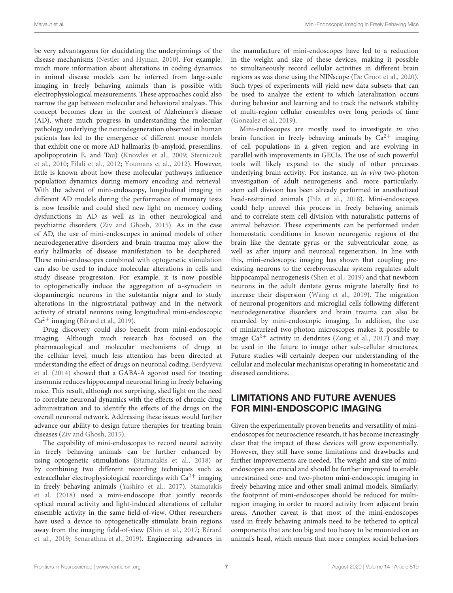be very advantageous for elucidating the underpinnings of the disease mechanisms [\(Nestler and Hyman,](#page-11-35) [2010\)](#page-11-35). For example, much more information about alterations in coding dynamics in animal disease models can be inferred from large-scale imaging in freely behaving animals than is possible with electrophysiological measurements. These approaches could also narrow the gap between molecular and behavioral analyses. This concept becomes clear in the context of Alzheimer's disease (AD), where much progress in understanding the molecular pathology underlying the neurodegeneration observed in human patients has led to the emergence of different mouse models that exhibit one or more AD hallmarks (b-amyloid, presenilins, apolipoprotein E, and Tau) [\(Knowles et al.,](#page-10-38) [2009;](#page-10-38) [Sterniczuk](#page-11-36) [et al.,](#page-11-36) [2010;](#page-11-36) [Filali et al.,](#page-10-39) [2012;](#page-10-39) [Youmans et al.,](#page-12-10) [2012\)](#page-12-10). However, little is known about how these molecular pathways influence population dynamics during memory encoding and retrieval. With the advent of mini-endoscopy, longitudinal imaging in different AD models during the performance of memory tests is now feasible and could shed new light on memory coding dysfunctions in AD as well as in other neurological and psychiatric disorders [\(Ziv and Ghosh,](#page-12-11) [2015\)](#page-12-11). As in the case of AD, the use of mini-endoscopes in animal models of other neurodegenerative disorders and brain trauma may allow the early hallmarks of disease manifestation to be deciphered. These mini-endoscopes combined with optogenetic stimulation can also be used to induce molecular alterations in cells and study disease progression. For example, it is now possible to optogenetically induce the aggregation of α-synuclein in dopaminergic neurons in the substantia nigra and to study alterations in the nigrostriatal pathway and in the network activity of striatal neurons using longitudinal mini-endoscopic  $Ca<sup>2+</sup> imaging (Bérard et al., 2019).$  $Ca<sup>2+</sup> imaging (Bérard et al., 2019).$  $Ca<sup>2+</sup> imaging (Bérard et al., 2019).$  $Ca<sup>2+</sup> imaging (Bérard et al., 2019).$  $Ca<sup>2+</sup> imaging (Bérard et al., 2019).$ 

Drug discovery could also benefit from mini-endoscopic imaging. Although much research has focused on the pharmacological and molecular mechanisms of drugs at the cellular level, much less attention has been directed at understanding the effect of drugs on neuronal coding. [Berdyyeva](#page-9-23) [et al.](#page-9-23) [\(2014\)](#page-9-23) showed that a GABA-A agonist used for treating insomnia reduces hippocampal neuronal firing in freely behaving mice. This result, although not surprising, shed light on the need to correlate neuronal dynamics with the effects of chronic drug administration and to identify the effects of the drugs on the overall neuronal network. Addressing these issues would further advance our ability to design future therapies for treating brain diseases [\(Ziv and Ghosh,](#page-12-11) [2015\)](#page-12-11).

The capability of mini-endoscopes to record neural activity in freely behaving animals can be further enhanced by using optogenetic stimulations [\(Stamatakis et al.,](#page-11-18) [2018\)](#page-11-18) or by combining two different recording techniques such as extracellular electrophysiological recordings with  $Ca^{2+}$  imaging in freely behaving animals [\(Yashiro et al.,](#page-12-6) [2017\)](#page-12-6). [Stamatakis](#page-11-18) [et al.](#page-11-18) [\(2018\)](#page-11-18) used a mini-endoscope that jointly records optical neural activity and light-induced alterations of cellular ensemble activity in the same field-of-view. Other researchers have used a device to optogenetically stimulate brain regions away from the imaging field-of-view [\(Shin et al.,](#page-11-19) [2017;](#page-11-19) [Bérard](#page-9-14) [et al.,](#page-9-14) [2019;](#page-9-14) [Senarathna et al.,](#page-11-20) [2019\)](#page-11-20). Engineering advances in

the manufacture of mini-endoscopes have led to a reduction in the weight and size of these devices, making it possible to simultaneously record cellular activities in different brain regions as was done using the NINscope [\(De Groot et al.,](#page-9-10) [2020\)](#page-9-10). Such types of experiments will yield new data subsets that can be used to analyze the extent to which lateralization occurs during behavior and learning and to track the network stability of multi-region cellular ensembles over long periods of time [\(Gonzalez et al.,](#page-10-25) [2019\)](#page-10-25).

Mini-endoscopes are mostly used to investigate in vivo brain function in freely behaving animals by  $Ca^{2+}$  imaging of cell populations in a given region and are evolving in parallel with improvements in GECIs. The use of such powerful tools will likely expand to the study of other processes underlying brain activity. For instance, an in vivo two-photon investigation of adult neurogenesis and, more particularly, stem cell division has been already performed in anesthetized head-restrained animals [\(Pilz et al.,](#page-11-12) [2018\)](#page-11-12). Mini-endoscopes could help unravel this process in freely behaving animals and to correlate stem cell division with naturalistic patterns of animal behavior. These experiments can be performed under homeostatic conditions in known neurogenic regions of the brain like the dentate gyrus or the subventricular zone, as well as after injury and neuronal regeneration. In line with this, mini-endoscopic imaging has shown that coupling preexisting neurons to the cerebrovascular system regulates adult hippocampal neurogenesis [\(Shen et al.,](#page-11-37) [2019\)](#page-11-37) and that newborn neurons in the adult dentate gyrus migrate laterally first to increase their dispersion [\(Wang et al.,](#page-12-12) [2019\)](#page-12-12). The migration of neuronal progenitors and microglial cells following different neurodegenerative disorders and brain trauma can also be recorded by mini-endoscopic imaging. In addition, the use of miniaturized two-photon microscopes makes it possible to image  $Ca^{2+}$  activity in dendrites [\(Zong et al.,](#page-12-4) [2017\)](#page-12-4) and may be used in the future to image other sub-cellular structures. Future studies will certainly deepen our understanding of the cellular and molecular mechanisms operating in homeostatic and diseased conditions.

# LIMITATIONS AND FUTURE AVENUES FOR MINI-ENDOSCOPIC IMAGING

Given the experimentally proven benefits and versatility of miniendoscopes for neuroscience research, it has become increasingly clear that the impact of these devices will grow exponentially. However, they still have some limitations and drawbacks and further improvements are needed. The weight and size of miniendoscopes are crucial and should be further improved to enable unrestrained one- and two-photon mini-endoscopic imaging in freely behaving mice and other small animal models. Similarly, the footprint of mini-endoscopes should be reduced for multiregion imaging in order to record activity from adjacent brain areas. Another caveat is that most of the mini-endoscopes used in freely behaving animals need to be tethered to optical components that are too big and too heavy to be mounted on an animal's head, which means that more complex social behaviors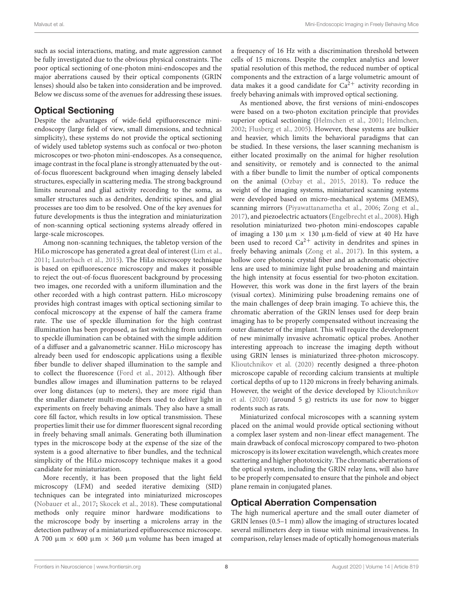such as social interactions, mating, and mate aggression cannot be fully investigated due to the obvious physical constraints. The poor optical sectioning of one-photon mini-endoscopes and the major aberrations caused by their optical components (GRIN lenses) should also be taken into consideration and be improved. Below we discuss some of the avenues for addressing these issues.

# Optical Sectioning

Despite the advantages of wide-field epifluorescence miniendoscopy (large field of view, small dimensions, and technical simplicity), these systems do not provide the optical sectioning of widely used tabletop systems such as confocal or two-photon microscopes or two-photon mini-endoscopes. As a consequence, image contrast in the focal plane is strongly attenuated by the outof-focus fluorescent background when imaging densely labeled structures, especially in scattering media. The strong background limits neuronal and glial activity recording to the soma, as smaller structures such as dendrites, dendritic spines, and glial processes are too dim to be resolved. One of the key avenues for future developments is thus the integration and miniaturization of non-scanning optical sectioning systems already offered in large-scale microscopes.

Among non-scanning techniques, the tabletop version of the HiLo microscope has generated a great deal of interest [\(Lim et al.,](#page-10-40) [2011;](#page-10-40) [Lauterbach et al.,](#page-10-41) [2015\)](#page-10-41). The HiLo microscopy technique is based on epifluorescence microscopy and makes it possible to reject the out-of-focus fluorescent background by processing two images, one recorded with a uniform illumination and the other recorded with a high contrast pattern. HiLo microscopy provides high contrast images with optical sectioning similar to confocal microscopy at the expense of half the camera frame rate. The use of speckle illumination for the high contrast illumination has been proposed, as fast switching from uniform to speckle illumination can be obtained with the simple addition of a diffuser and a galvanometric scanner. HiLo microscopy has already been used for endoscopic applications using a flexible fiber bundle to deliver shaped illumination to the sample and to collect the fluorescence [\(Ford et al.,](#page-10-42) [2012\)](#page-10-42). Although fiber bundles allow images and illumination patterns to be relayed over long distances (up to meters), they are more rigid than the smaller diameter multi-mode fibers used to deliver light in experiments on freely behaving animals. They also have a small core fill factor, which results in low optical transmission. These properties limit their use for dimmer fluorescent signal recording in freely behaving small animals. Generating both illumination types in the microscope body at the expense of the size of the system is a good alternative to fiber bundles, and the technical simplicity of the HiLo microscopy technique makes it a good candidate for miniaturization.

More recently, it has been proposed that the light field microscopy (LFM) and seeded iterative demixing (SID) techniques can be integrated into miniaturized microscopes [\(Nobauer et al.,](#page-11-38) [2017;](#page-11-38) [Skocek et al.,](#page-11-39) [2018\)](#page-11-39). These computational methods only require minor hardware modifications to the microscope body by inserting a microlens array in the detection pathway of a miniaturized epifluorescence microscope. A 700  $\mu$ m  $\times$  600  $\mu$ m  $\times$  360  $\mu$ m volume has been imaged at a frequency of 16 Hz with a discrimination threshold between cells of 15 microns. Despite the complex analytics and lower spatial resolution of this method, the reduced number of optical components and the extraction of a large volumetric amount of data makes it a good candidate for  $Ca^{2+}$  activity recording in freely behaving animals with improved optical sectioning.

As mentioned above, the first versions of mini-endoscopes were based on a two-photon excitation principle that provides superior optical sectioning [\(Helmchen et al.,](#page-10-14) [2001;](#page-10-14) [Helmchen,](#page-10-15) [2002;](#page-10-15) [Flusberg et al.,](#page-10-16) [2005\)](#page-10-16). However, these systems are bulkier and heavier, which limits the behavioral paradigms that can be studied. In these versions, the laser scanning mechanism is either located proximally on the animal for higher resolution and sensitivity, or remotely and is connected to the animal with a fiber bundle to limit the number of optical components on the animal [\(Ozbay et al.,](#page-11-40) [2015,](#page-11-40) [2018\)](#page-11-21). To reduce the weight of the imaging systems, miniaturized scanning systems were developed based on micro-mechanical systems (MEMS), scanning mirrors [\(Piyawattanametha et al.,](#page-11-41) [2006;](#page-11-41) [Zong et al.,](#page-12-4) [2017\)](#page-12-4), and piezoelectric actuators [\(Engelbrecht et al.,](#page-10-43) [2008\)](#page-10-43). High resolution miniaturized two-photon mini-endoscopes capable of imaging a 130  $\mu$ m  $\times$  130  $\mu$ m-field of view at 40 Hz have been used to record  $Ca^{2+}$  activity in dendrites and spines in freely behaving animals [\(Zong et al.,](#page-12-4) [2017\)](#page-12-4). In this system, a hollow core photonic crystal fiber and an achromatic objective lens are used to minimize light pulse broadening and maintain the high intensity at focus essential for two-photon excitation. However, this work was done in the first layers of the brain (visual cortex). Minimizing pulse broadening remains one of the main challenges of deep brain imaging. To achieve this, the chromatic aberration of the GRIN lenses used for deep brain imaging has to be properly compensated without increasing the outer diameter of the implant. This will require the development of new minimally invasive achromatic optical probes. Another interesting approach to increase the imaging depth without using GRIN lenses is miniaturized three-photon microscopy. [Klioutchnikov et al.](#page-10-44) [\(2020\)](#page-10-44) recently designed a three-photon microscope capable of recording calcium transients at multiple cortical depths of up to 1120 microns in freely behaving animals. However, the weight of the device developed by [Klioutchnikov](#page-10-44) [et al.](#page-10-44) [\(2020\)](#page-10-44) (around 5 g) restricts its use for now to bigger rodents such as rats.

Miniaturized confocal microscopes with a scanning system placed on the animal would provide optical sectioning without a complex laser system and non-linear effect management. The main drawback of confocal microscopy compared to two-photon microscopy is its lower excitation wavelength, which creates more scattering and higher phototoxicity. The chromatic aberrations of the optical system, including the GRIN relay lens, will also have to be properly compensated to ensure that the pinhole and object plane remain in conjugated planes.

# Optical Aberration Compensation

The high numerical aperture and the small outer diameter of GRIN lenses (0.5–1 mm) allow the imaging of structures located several millimeters deep in tissue with minimal invasiveness. In comparison, relay lenses made of optically homogenous materials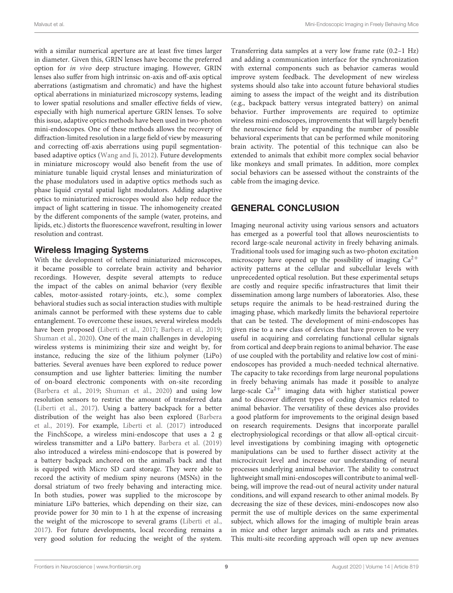with a similar numerical aperture are at least five times larger in diameter. Given this, GRIN lenses have become the preferred option for in vivo deep structure imaging. However, GRIN lenses also suffer from high intrinsic on-axis and off-axis optical aberrations (astigmatism and chromatic) and have the highest optical aberrations in miniaturized microscopy systems, leading to lower spatial resolutions and smaller effective fields of view, especially with high numerical aperture GRIN lenses. To solve this issue, adaptive optics methods have been used in two-photon mini-endoscopes. One of these methods allows the recovery of diffraction-limited resolution in a large field of view by measuring and correcting off-axis aberrations using pupil segmentationbased adaptive optics [\(Wang and Ji,](#page-12-13) [2012\)](#page-12-13). Future developments in miniature microscopy would also benefit from the use of miniature tunable liquid crystal lenses and miniaturization of the phase modulators used in adaptive optics methods such as phase liquid crystal spatial light modulators. Adding adaptive optics to miniaturized microscopes would also help reduce the impact of light scattering in tissue. The inhomogeneity created by the different components of the sample (water, proteins, and lipids, etc.) distorts the fluorescence wavefront, resulting in lower resolution and contrast.

## Wireless Imaging Systems

With the development of tethered miniaturized microscopes, it became possible to correlate brain activity and behavior recordings. However, despite several attempts to reduce the impact of the cables on animal behavior (very flexible cables, motor-assisted rotary-joints, etc.), some complex behavioral studies such as social interaction studies with multiple animals cannot be performed with these systems due to cable entanglement. To overcome these issues, several wireless models have been proposed [\(Liberti et al.,](#page-10-27) [2017;](#page-10-27) [Barbera et al.,](#page-9-11) [2019;](#page-9-11) [Shuman et al.,](#page-11-42) [2020\)](#page-11-42). One of the main challenges in developing wireless systems is minimizing their size and weight by, for instance, reducing the size of the lithium polymer (LiPo) batteries. Several avenues have been explored to reduce power consumption and use lighter batteries: limiting the number of on-board electronic components with on-site recording [\(Barbera et al.,](#page-9-11) [2019;](#page-9-11) [Shuman et al.,](#page-11-42) [2020\)](#page-11-42) and using low resolution sensors to restrict the amount of transferred data [\(Liberti et al.,](#page-10-27) [2017\)](#page-10-27). Using a battery backpack for a better distribution of the weight has also been explored [\(Barbera](#page-9-11) [et al.,](#page-9-11) [2019\)](#page-9-11). For example, [Liberti et al.](#page-10-27) [\(2017\)](#page-10-27) introduced the FinchScope, a wireless mini-endoscope that uses a 2 g wireless transmitter and a LiPo battery. [Barbera et al.](#page-9-11) [\(2019\)](#page-9-11) also introduced a wireless mini-endoscope that is powered by a battery backpack anchored on the animal's back and that is equipped with Micro SD card storage. They were able to record the activity of medium spiny neurons (MSNs) in the dorsal striatum of two freely behaving and interacting mice. In both studies, power was supplied to the microscope by miniature LiPo batteries, which depending on their size, can provide power for 30 min to 1 h at the expense of increasing the weight of the microscope to several grams [\(Liberti et al.,](#page-10-27) [2017\)](#page-10-27). For future developments, local recording remains a very good solution for reducing the weight of the system.

Transferring data samples at a very low frame rate (0.2–1 Hz) and adding a communication interface for the synchronization with external components such as behavior cameras would improve system feedback. The development of new wireless systems should also take into account future behavioral studies aiming to assess the impact of the weight and its distribution (e.g., backpack battery versus integrated battery) on animal behavior. Further improvements are required to optimize wireless mini-endoscopes, improvements that will largely benefit the neuroscience field by expanding the number of possible behavioral experiments that can be performed while monitoring brain activity. The potential of this technique can also be extended to animals that exhibit more complex social behavior like monkeys and small primates. In addition, more complex social behaviors can be assessed without the constraints of the cable from the imaging device.

# GENERAL CONCLUSION

Imaging neuronal activity using various sensors and actuators has emerged as a powerful tool that allows neuroscientists to record large-scale neuronal activity in freely behaving animals. Traditional tools used for imaging such as two-photon excitation microscopy have opened up the possibility of imaging  $Ca^{2+}$ activity patterns at the cellular and subcellular levels with unprecedented optical resolution. But these experimental setups are costly and require specific infrastructures that limit their dissemination among large numbers of laboratories. Also, these setups require the animals to be head-restrained during the imaging phase, which markedly limits the behavioral repertoire that can be tested. The development of mini-endoscopes has given rise to a new class of devices that have proven to be very useful in acquiring and correlating functional cellular signals from cortical and deep brain regions to animal behavior. The ease of use coupled with the portability and relative low cost of miniendoscopes has provided a much-needed technical alternative. The capacity to take recordings from large neuronal populations in freely behaving animals has made it possible to analyze large-scale  $Ca^{2+}$  imaging data with higher statistical power and to discover different types of coding dynamics related to animal behavior. The versatility of these devices also provides a good platform for improvements to the original design based on research requirements. Designs that incorporate parallel electrophysiological recordings or that allow all-optical circuitlevel investigations by combining imaging with optogenetic manipulations can be used to further dissect activity at the microcircuit level and increase our understanding of neural processes underlying animal behavior. The ability to construct lightweight small mini-endoscopes will contribute to animal wellbeing, will improve the read-out of neural activity under natural conditions, and will expand research to other animal models. By decreasing the size of these devices, mini-endoscopes now also permit the use of multiple devices on the same experimental subject, which allows for the imaging of multiple brain areas in mice and other larger animals such as rats and primates. This multi-site recording approach will open up new avenues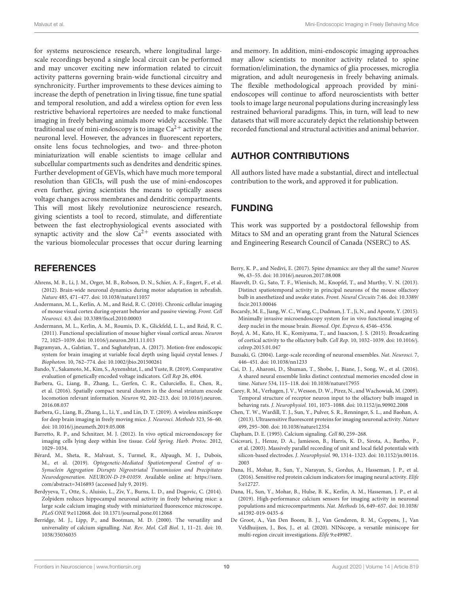for systems neuroscience research, where longitudinal largescale recordings beyond a single local circuit can be performed and may uncover exciting new information related to circuit activity patterns governing brain-wide functional circuitry and synchronicity. Further improvements to these devices aiming to increase the depth of penetration in living tissue, fine tune spatial and temporal resolution, and add a wireless option for even less restrictive behavioral repertoires are needed to make functional imaging in freely behaving animals more widely accessible. The traditional use of mini-endoscopy is to image  $Ca^{2+}$  activity at the neuronal level. However, the advances in fluorescent reporters, onsite lens focus technologies, and two- and three-photon miniaturization will enable scientists to image cellular and subcellular compartments such as dendrites and dendritic spines. Further development of GEVIs, which have much more temporal resolution than GECIs, will push the use of mini-endoscopes even further, giving scientists the means to optically assess voltage changes across membranes and dendritic compartments. This will most likely revolutionize neuroscience research, giving scientists a tool to record, stimulate, and differentiate between the fast electrophysiological events associated with synaptic activity and the slow  $Ca^{2+}$  events associated with the various biomolecular processes that occur during learning

# **REFERENCES**

- <span id="page-9-8"></span>Ahrens, M. B., Li, J. M., Orger, M. B., Robson, D. N., Schier, A. F., Engert, F., et al. (2012). Brain-wide neuronal dynamics during motor adaptation in zebrafish. Nature 485, 471–477. [doi: 10.1038/nature11057](https://doi.org/10.1038/nature11057)
- <span id="page-9-22"></span>Andermann, M. L., Kerlin, A. M., and Reid, R. C. (2010). Chronic cellular imaging of mouse visual cortex during operant behavior and passive viewing. Front. Cell Neurosci. 4:3. [doi: 10.3389/fncel.2010.00003](https://doi.org/10.3389/fncel.2010.00003)
- <span id="page-9-20"></span>Andermann, M. L., Kerlin, A. M., Roumis, D. K., Glickfeld, L. L., and Reid, R. C. (2011). Functional specialization of mouse higher visual cortical areas. Neuron 72, 1025–1039. [doi: 10.1016/j.neuron.2011.11.013](https://doi.org/10.1016/j.neuron.2011.11.013)
- <span id="page-9-16"></span>Bagramyan, A., Galstian, T., and Saghatelyan, A. (2017). Motion-free endoscopic system for brain imaging at variable focal depth using liquid crystal lenses. J Biophoton. 10, 762–774. [doi: 10.1002/jbio.201500261](https://doi.org/10.1002/jbio.201500261)
- <span id="page-9-6"></span>Bando, Y., Sakamoto, M., Kim, S., Ayzenshtat, I., and Yuste, R. (2019). Comparative evaluation of genetically encoded voltage indicators. Cell Rep 26, e804.
- <span id="page-9-13"></span>Barbera, G., Liang, B., Zhang, L., Gerfen, C. R., Culurciello, E., Chen, R., et al. (2016). Spatially compact neural clusters in the dorsal striatum encode locomotion relevant information. Neuron 92, 202–213. [doi: 10.1016/j.neuron.](https://doi.org/10.1016/j.neuron.2016.08.037) [2016.08.037](https://doi.org/10.1016/j.neuron.2016.08.037)
- <span id="page-9-11"></span>Barbera, G., Liang, B., Zhang, L., Li, Y., and Lin, D. T. (2019). A wireless miniScope for deep brain imaging in freely moving mice. J. Neurosci. Methods 323, 56–60. [doi: 10.1016/j.jneumeth.2019.05.008](https://doi.org/10.1016/j.jneumeth.2019.05.008)
- <span id="page-9-15"></span>Barretto, R. P., and Schnitzer, M. J. (2012). In vivo optical microendoscopy for imaging cells lying deep within live tissue. Cold Spring. Harb. Protoc. 2012, 1029–1034.
- <span id="page-9-14"></span>Bérard, M., Sheta, R., Malvaut, S., Turmel, R., Alpaugh, M. J., Dubois, M., et al. (2019). Optogenetic-Mediated Spatiotemporal Control of α-Synuclein Aggregation Disrupts Nigrostriatal Transmission and Precipitates Neurodegeneration. NEURON-D-19-01059. Available online at: [https://ssrn.](https://ssrn.com/abstract=3416893) [com/abstract=3416893](https://ssrn.com/abstract=3416893) (accessed July 9, 2019).
- <span id="page-9-23"></span>Berdyyeva, T., Otte, S., Aluisio, L., Ziv, Y., Burns, L. D., and Dugovic, C. (2014). Zolpidem reduces hippocampal neuronal activity in freely behaving mice: a large scale calcium imaging study with miniaturized fluorescence microscope. PLoS ONE 9:e112068. [doi: 10.1371/journal.pone.0112068](https://doi.org/10.1371/journal.pone.0112068)
- <span id="page-9-3"></span>Berridge, M. J., Lipp, P., and Bootman, M. D. (2000). The versatility and universality of calcium signalling. Nat. Rev. Mol. Cell Biol. 1, 11–21. [doi: 10.](https://doi.org/10.1038/35036035) [1038/35036035](https://doi.org/10.1038/35036035)

and memory. In addition, mini-endoscopic imaging approaches may allow scientists to monitor activity related to spine formation/elimination, the dynamics of glia processes, microglia migration, and adult neurogenesis in freely behaving animals. The flexible methodological approach provided by miniendoscopes will continue to afford neuroscientists with better tools to image large neuronal populations during increasingly less restrained behavioral paradigms. This, in turn, will lead to new datasets that will more accurately depict the relationship between recorded functional and structural activities and animal behavior.

# AUTHOR CONTRIBUTIONS

All authors listed have made a substantial, direct and intellectual contribution to the work, and approved it for publication.

# FUNDING

This work was supported by a postdoctoral fellowship from Mitacs to SM and an operating grant from the Natural Sciences and Engineering Research Council of Canada (NSERC) to AS.

- <span id="page-9-7"></span>Berry, K. P., and Nedivi, E. (2017). Spine dynamics: are they all the same? Neuron 96, 43–55. [doi: 10.1016/j.neuron.2017.08.008](https://doi.org/10.1016/j.neuron.2017.08.008)
- <span id="page-9-21"></span>Blauvelt, D. G., Sato, T. F., Wienisch, M., Knopfel, T., and Murthy, V. N. (2013). Distinct spatiotemporal activity in principal neurons of the mouse olfactory bulb in anesthetized and awake states. Front. Neural Circuits 7:46. [doi: 10.3389/](https://doi.org/10.3389/fncir.2013.00046) [fncir.2013.00046](https://doi.org/10.3389/fncir.2013.00046)
- <span id="page-9-9"></span>Bocarsly, M. E., Jiang, W. C., Wang, C., Dudman, J. T., Ji, N., and Aponte, Y. (2015). Minimally invasive microendoscopy system for in vivo functional imaging of deep nuclei in the mouse brain. Biomed. Opt. Express 6, 4546–4556.
- <span id="page-9-18"></span>Boyd, A. M., Kato, H. K., Komiyama, T., and Isaacson, J. S. (2015). Broadcasting of cortical activity to the olfactory bulb. Cell Rep. 10, 1032–1039. [doi: 10.1016/j.](https://doi.org/10.1016/j.celrep.2015.01.047) [celrep.2015.01.047](https://doi.org/10.1016/j.celrep.2015.01.047)
- <span id="page-9-1"></span>Buzsaki, G. (2004). Large-scale recording of neuronal ensembles. Nat. Neurosci. 7, 446–451. [doi: 10.1038/nn1233](https://doi.org/10.1038/nn1233)
- <span id="page-9-12"></span>Cai, D. J., Aharoni, D., Shuman, T., Shobe, J., Biane, J., Song, W., et al. (2016). A shared neural ensemble links distinct contextual memories encoded close in time. Nature 534, 115–118. [doi: 10.1038/nature17955](https://doi.org/10.1038/nature17955)
- <span id="page-9-19"></span>Carey, R. M., Verhagen, J. V., Wesson, D. W., Pirez, N., and Wachowiak, M. (2009). Temporal structure of receptor neuron input to the olfactory bulb imaged in behaving rats. J. Neurophysiol. 101, 1073–1088. [doi: 10.1152/jn.90902.2008](https://doi.org/10.1152/jn.90902.2008)
- <span id="page-9-17"></span>Chen, T. W., Wardill, T. J., Sun, Y., Pulver, S. R., Renninger, S. L., and Baohan, A. (2013). Ultrasensitive fluorescent proteins for imaging neuronal activity. Nature 499, 295–300. [doi: 10.1038/nature12354](https://doi.org/10.1038/nature12354)
- <span id="page-9-2"></span>Clapham, D. E. (1995). Calcium signaling. Cell 80, 259–268.
- <span id="page-9-0"></span>Csicsvari, J., Henze, D. A., Jamieson, B., Harris, K. D., Sirota, A., Bartho, P., et al. (2003). Massively parallel recording of unit and local field potentials with silicon-based electrodes. J. Neurophysiol. 90, 1314–1323. [doi: 10.1152/jn.00116.](https://doi.org/10.1152/jn.00116.2003) [2003](https://doi.org/10.1152/jn.00116.2003)
- <span id="page-9-4"></span>Dana, H., Mohar, B., Sun, Y., Narayan, S., Gordus, A., Hasseman, J. P., et al. (2016). Sensitive red protein calcium indicators for imaging neural activity. Elife 5:e12727.
- <span id="page-9-5"></span>Dana, H., Sun, Y., Mohar, B., Hulse, B. K., Kerlin, A. M., Hasseman, J. P., et al. (2019). High-performance calcium sensors for imaging activity in neuronal populations and microcompartments. Nat. Methods 16, 649–657. [doi: 10.1038/](https://doi.org/10.1038/s41592-019-0435-6) [s41592-019-0435-6](https://doi.org/10.1038/s41592-019-0435-6)
- <span id="page-9-10"></span>De Groot, A., Van Den Boom, B. J., Van Genderen, R. M., Coppens, J., Van Veldhuijzen, J., Bos, J., et al. (2020). NINscope, a versatile miniscope for multi-region circuit investigations. Elife 9:e49987.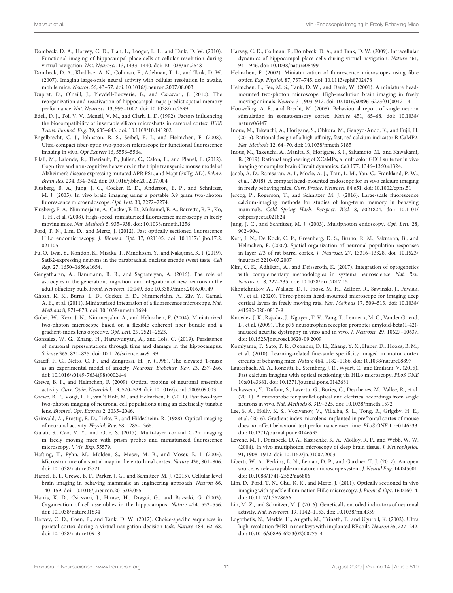- <span id="page-10-36"></span>Dombeck, D. A., Harvey, C. D., Tian, L., Looger, L. L., and Tank, D. W. (2010). Functional imaging of hippocampal place cells at cellular resolution during virtual navigation. Nat. Neurosci. 13, 1433–1440. [doi: 10.1038/nn.2648](https://doi.org/10.1038/nn.2648)
- <span id="page-10-2"></span>Dombeck, D. A., Khabbaz, A. N., Collman, F., Adelman, T. L., and Tank, D. W. (2007). Imaging large-scale neural activity with cellular resolution in awake, mobile mice. Neuron 56, 43–57. [doi: 10.1016/j.neuron.2007.08.003](https://doi.org/10.1016/j.neuron.2007.08.003)
- <span id="page-10-9"></span>Dupret, D., O'neill, J., Pleydell-Bouverie, B., and Csicsvari, J. (2010). The reorganization and reactivation of hippocampal maps predict spatial memory performance. Nat. Neurosci. 13, 995–1002. [doi: 10.1038/nn.2599](https://doi.org/10.1038/nn.2599)
- <span id="page-10-22"></span>Edell, D. J., Toi, V. V., Mcneil, V. M., and Clark, L. D. (1992). Factors influencing the biocompatibility of insertable silicon microshafts in cerebral cortex. IEEE Trans. Biomed. Eng. 39, 635–643. [doi: 10.1109/10.141202](https://doi.org/10.1109/10.141202)
- <span id="page-10-43"></span>Engelbrecht, C. J., Johnston, R. S., Seibel, E. J., and Helmchen, F. (2008). Ultra-compact fiber-optic two-photon microscope for functional fluorescence imaging in vivo. Opt Express 16, 5556–5564.
- <span id="page-10-39"></span>Filali, M., Lalonde, R., Theriault, P., Julien, C., Calon, F., and Planel, E. (2012). Cognitive and non-cognitive behaviors in the triple transgenic mouse model of Alzheimer's disease expressing mutated APP, PS1, and Mapt (3xTg-AD). Behav. Brain Res. 234, 334–342. [doi: 10.1016/j.bbr.2012.07.004](https://doi.org/10.1016/j.bbr.2012.07.004)
- <span id="page-10-16"></span>Flusberg, B. A., Jung, J. C., Cocker, E. D., Anderson, E. P., and Schnitzer, M. J. (2005). In vivo brain imaging using a portable 3.9 gram two-photon fluorescence microendoscope. Opt. Lett. 30, 2272–2274.
- <span id="page-10-18"></span>Flusberg, B. A., Nimmerjahn, A., Cocker, E. D., Mukamel, E. A., Barretto, R. P., Ko, T. H., et al. (2008). High-speed, miniaturized fluorescence microscopy in freely moving mice. Nat. Methods 5, 935–938. [doi: 10.1038/nmeth.1256](https://doi.org/10.1038/nmeth.1256)
- <span id="page-10-42"></span>Ford, T. N., Lim, D., and Mertz, J. (2012). Fast optically sectioned fluorescence HiLo endomicroscopy. J. Biomed. Opt. 17, 021105. [doi: 10.1117/1.jbo.17.2.](https://doi.org/10.1117/1.jbo.17.2.021105) [021105](https://doi.org/10.1117/1.jbo.17.2.021105)
- <span id="page-10-21"></span>Fu, O., Iwai, Y., Kondoh, K., Misaka, T., Minokoshi, Y., and Nakajima, K. I. (2019). SatB2-expressing neurons in the parabrachial nucleus encode sweet taste. Cell Rep. 27, 1650–1656.e1654.
- <span id="page-10-13"></span>Gengatharan, A., Bammann, R. R., and Saghatelyan, A. (2016). The role of astrocytes in the generation, migration, and integration of new neurons in the adult olfactory bulb. Front. Neurosci. 10:149. [doi: 10.3389/fnins.2016.00149](https://doi.org/10.3389/fnins.2016.00149)
- <span id="page-10-26"></span>Ghosh, K. K., Burns, L. D., Cocker, E. D., Nimmerjahn, A., Ziv, Y., Gamal, A. E., et al. (2011). Miniaturized integration of a fluorescence microscope. Nat. Methods 8, 871–878. [doi: 10.1038/nmeth.1694](https://doi.org/10.1038/nmeth.1694)
- <span id="page-10-17"></span>Gobel, W., Kerr, J. N., Nimmerjahn, A., and Helmchen, F. (2004). Miniaturized two-photon microscope based on a flexible coherent fiber bundle and a gradient-index lens objective. Opt. Lett. 29, 2521–2523.
- <span id="page-10-25"></span>Gonzalez, W. G., Zhang, H., Harutyunyan, A., and Lois, C. (2019). Persistence of neuronal representations through time and damage in the hippocampus. Science 365, 821–825. [doi: 10.1126/science.aav9199](https://doi.org/10.1126/science.aav9199)
- <span id="page-10-37"></span>Graeff, F. G., Netto, C. F., and Zangrossi, H. Jr. (1998). The elevated T-maze as an experimental model of anxiety. Neurosci. Biobehav. Rev. 23, 237–246. [doi: 10.1016/s0149-7634\(98\)00024-4](https://doi.org/10.1016/s0149-7634(98)00024-4)
- <span id="page-10-4"></span>Grewe, B. F., and Helmchen, F. (2009). Optical probing of neuronal ensemble activity. Curr. Opin. Neurobiol. 19, 520–529. [doi: 10.1016/j.conb.2009.09.003](https://doi.org/10.1016/j.conb.2009.09.003)
- <span id="page-10-32"></span>Grewe, B. F., Voigt, F. F., van 't Hoff, M., and Helmchen, F. (2011). Fast two-layer two-photon imaging of neuronal cell populations using an electrically tunable lens. Biomed. Opt. Express 2, 2035–2046.
- <span id="page-10-0"></span>Grinvald, A., Frostig, R. D., Lieke, E., and Hildesheim, R. (1988). Optical imaging of neuronal activity. Physiol. Rev. 68, 1285–1366.
- <span id="page-10-23"></span>Gulati, S., Cao, V. Y., and Otte, S. (2017). Multi-layer cortical Ca2+ imaging in freely moving mice with prism probes and miniaturized fluorescence microscopy. J. Vis. Exp. 55579.
- <span id="page-10-7"></span>Hafting, T., Fyhn, M., Molden, S., Moser, M. B., and Moser, E. I. (2005). Microstructure of a spatial map in the entorhinal cortex. Nature 436, 801–806. [doi: 10.1038/nature03721](https://doi.org/10.1038/nature03721)
- <span id="page-10-31"></span>Hamel, E. J., Grewe, B. F., Parker, J. G., and Schnitzer, M. J. (2015). Cellular level brain imaging in behaving mammals: an engineering approach. Neuron 86, 140–159. [doi: 10.1016/j.neuron.2015.03.055](https://doi.org/10.1016/j.neuron.2015.03.055)
- <span id="page-10-8"></span>Harris, K. D., Csicsvari, J., Hirase, H., Dragoi, G., and Buzsaki, G. (2003). Organization of cell assemblies in the hippocampus. Nature 424, 552–556. [doi: 10.1038/nature01834](https://doi.org/10.1038/nature01834)
- <span id="page-10-35"></span>Harvey, C. D., Coen, P., and Tank, D. W. (2012). Choice-specific sequences in parietal cortex during a virtual-navigation decision task. Nature 484, 62–68. [doi: 10.1038/nature10918](https://doi.org/10.1038/nature10918)
- <span id="page-10-6"></span>Harvey, C. D., Collman, F., Dombeck, D. A., and Tank, D. W. (2009). Intracellular dynamics of hippocampal place cells during virtual navigation. Nature 461, 941–946. [doi: 10.1038/nature08499](https://doi.org/10.1038/nature08499)
- <span id="page-10-15"></span>Helmchen, F. (2002). Miniaturization of fluorescence microscopes using fibre optics. Exp. Physiol. 87, 737–745. [doi: 10.1113/eph8702478](https://doi.org/10.1113/eph8702478)
- <span id="page-10-14"></span>Helmchen, F., Fee, M. S., Tank, D. W., and Denk, W. (2001). A miniature headmounted two-photon microscope. High-resolution brain imaging in freely moving animals. Neuron 31, 903–912. [doi: 10.1016/s0896-6273\(01\)00421-4](https://doi.org/10.1016/s0896-6273(01)00421-4)
- <span id="page-10-5"></span>Houweling, A. R., and Brecht, M. (2008). Behavioural report of single neuron stimulation in somatosensory cortex. Nature 451, 65–68. [doi: 10.1038/](https://doi.org/10.1038/nature06447) [nature06447](https://doi.org/10.1038/nature06447)
- <span id="page-10-33"></span>Inoue, M., Takeuchi, A., Horigane, S., Ohkura, M., Gengyo-Ando, K., and Fujii, H. (2015). Rational design of a high-affinity, fast, red calcium indicator R-CaMP2. Nat. Methods 12, 64–70. [doi: 10.1038/nmeth.3185](https://doi.org/10.1038/nmeth.3185)
- <span id="page-10-11"></span>Inoue, M., Takeuchi, A., Manita, S., Horigane, S. I., Sakamoto, M., and Kawakami, R. (2019). Rational engineering of XCaMPs, a multicolor GECI suite for in vivo imaging of complex brain Circuit dynamics. Cell 177, 1346–1360.e1324.
- <span id="page-10-28"></span>Jacob, A. D., Ramsaran, A. I., Mocle, A. J., Tran, L. M., Yan, C., Frankland, P. W., et al. (2018). A compact head-mounted endoscope for in vivo calcium imaging in freely behaving mice. Curr. Protoc. Neurosci. 84:e51. [doi: 10.1002/cpns.51](https://doi.org/10.1002/cpns.51)
- <span id="page-10-12"></span>Jercog, P., Rogerson, T., and Schnitzer, M. J. (2016). Large-scale fluorescence calcium-imaging methods for studies of long-term memory in behaving mammals. Cold Spring Harb. Perspect. Biol. 8, a021824. [doi: 10.1101/](https://doi.org/10.1101/cshperspect.a021824) [cshperspect.a021824](https://doi.org/10.1101/cshperspect.a021824)
- <span id="page-10-19"></span>Jung, J. C., and Schnitzer, M. J. (2003). Multiphoton endoscopy. Opt. Lett. 28, 902–904.
- <span id="page-10-3"></span>Kerr, J. N., De Kock, C. P., Greenberg, D. S., Bruno, R. M., Sakmann, B., and Helmchen, F. (2007). Spatial organization of neuronal population responses in layer 2/3 of rat barrel cortex. J. Neurosci. 27, 13316–13328. [doi: 10.1523/](https://doi.org/10.1523/jneurosci.2210-07.2007) [jneurosci.2210-07.2007](https://doi.org/10.1523/jneurosci.2210-07.2007)
- <span id="page-10-29"></span>Kim, C. K., Adhikari, A., and Deisseroth, K. (2017). Integration of optogenetics with complementary methodologies in systems neuroscience. Nat. Rev. Neurosci. 18, 222–235. [doi: 10.1038/nrn.2017.15](https://doi.org/10.1038/nrn.2017.15)
- <span id="page-10-44"></span>Klioutchnikov, A., Wallace, D. J., Frosz, M. H., Zeltner, R., Sawinski, J., Pawlak, V., et al. (2020). Three-photon head-mounted microscope for imaging deep cortical layers in freely moving rats. Nat. Methods 17, 509–513. [doi: 10.1038/](https://doi.org/10.1038/s41592-020-0817-9) [s41592-020-0817-9](https://doi.org/10.1038/s41592-020-0817-9)
- <span id="page-10-38"></span>Knowles, J. K., Rajadas, J., Nguyen, T. V., Yang, T., Lemieux, M. C., Vander Griend, L., et al. (2009). The p75 neurotrophin receptor promotes amyloid-beta(1-42) induced neuritic dystrophy in vitro and in vivo. J. Neurosci. 29, 10627–10637. [doi: 10.1523/jneurosci.0620-09.2009](https://doi.org/10.1523/jneurosci.0620-09.2009)
- <span id="page-10-34"></span>Komiyama, T., Sato, T. R., O'connor, D. H., Zhang, Y. X., Huber, D., Hooks, B. M., et al. (2010). Learning-related fine-scale specificity imaged in motor cortex circuits of behaving mice. Nature 464, 1182–1186. [doi: 10.1038/nature08897](https://doi.org/10.1038/nature08897)
- <span id="page-10-41"></span>Lauterbach, M. A., Ronzitti, E., Sternberg, J. R., Wyart, C., and Emiliani, V. (2015). Fast calcium imaging with optical sectioning via HiLo microscopy. PLoS ONE 10:e0143681. [doi: 10.1371/journal.pone.0143681](https://doi.org/10.1371/journal.pone.0143681)
- <span id="page-10-30"></span>Lechasseur, Y., Dufour, S., Lavertu, G., Bories, C., Deschenes, M., Vallee, R., et al. (2011). A microprobe for parallel optical and electrical recordings from single neurons in vivo. Nat. Methods 8, 319–325. [doi: 10.1038/nmeth.1572](https://doi.org/10.1038/nmeth.1572)
- <span id="page-10-24"></span>Lee, S. A., Holly, K. S., Voziyanov, V., Villalba, S. L., Tong, R., Grigsby, H. E., et al. (2016). Gradient index microlens implanted in prefrontal cortex of mouse does not affect behavioral test performance over time. PLoS ONE 11:e0146533. [doi: 10.1371/journal.pone.0146533](https://doi.org/10.1371/journal.pone.0146533)
- <span id="page-10-20"></span>Levene, M. J., Dombeck, D. A., Kasischke, K. A., Molloy, R. P., and Webb, W. W. (2004). In vivo multiphoton microscopy of deep brain tissue. J. Neurophysiol. 91, 1908–1912. [doi: 10.1152/jn.01007.2003](https://doi.org/10.1152/jn.01007.2003)
- <span id="page-10-27"></span>Liberti, W. A., Perkins, L. N., Leman, D. P., and Gardner, T. J. (2017). An open source, wireless capable miniature microscope system. J. Neural Eng. 14:045001. [doi: 10.1088/1741-2552/aa6806](https://doi.org/10.1088/1741-2552/aa6806)
- <span id="page-10-40"></span>Lim, D., Ford, T. N., Chu, K. K., and Mertz, J. (2011). Optically sectioned in vivo imaging with speckle illumination HiLo microscopy. J. Biomed. Opt. 16:016014. [doi: 10.1117/1.3528656](https://doi.org/10.1117/1.3528656)
- <span id="page-10-10"></span>Lin, M. Z., and Schnitzer, M. J. (2016). Genetically encoded indicators of neuronal activity. Nat. Neurosci. 19, 1142–1153. [doi: 10.1038/nn.4359](https://doi.org/10.1038/nn.4359)
- <span id="page-10-1"></span>Logothetis, N., Merkle, H., Augath, M., Trinath, T., and Ugurbil, K. (2002). Ultra high-resolution fMRI in monkeys with implanted RF coils. Neuron 35, 227–242. [doi: 10.1016/s0896-6273\(02\)00775-4](https://doi.org/10.1016/s0896-6273(02)00775-4)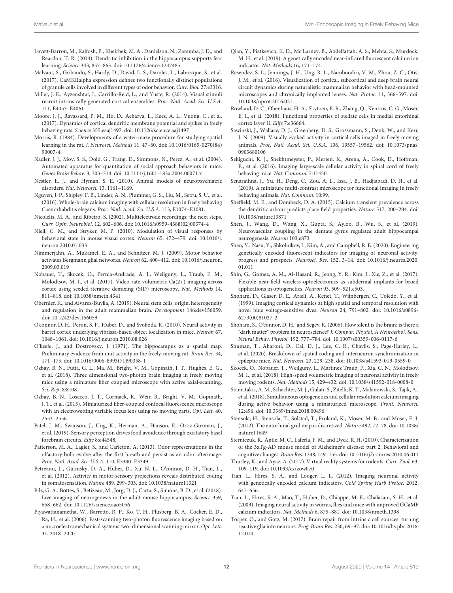- <span id="page-11-26"></span>Lovett-Barron, M., Kaifosh, P., Kheirbek, M. A., Danielson, N., Zaremba, J. D., and Reardon, T. R. (2014). Dendritic inhibition in the hippocampus supports fear learning. Science 343, 857–863. [doi: 10.1126/science.1247485](https://doi.org/10.1126/science.1247485)
- <span id="page-11-22"></span>Malvaut, S., Gribaudo, S., Hardy, D., David, L. S., Daroles, L., Labrecque, S., et al. (2017). CaMKIIalpha expression defines two functionally distinct populations of granule cells involved in different types of odor behavior. Curr. Biol. 27:e3316.
- <span id="page-11-28"></span>Miller, J. E., Ayzenshtat, I., Carrillo-Reid, L., and Yuste, R. (2014). Visual stimuli recruit intrinsically generated cortical ensembles. Proc. Natl. Acad. Sci. U.S.A. 111, E4053–E4061.
- <span id="page-11-6"></span>Moore, J. J., Ravassard, P. M., Ho, D., Acharya, L., Kees, A. L., Vuong, C., et al. (2017). Dynamics of cortical dendritic membrane potential and spikes in freely behaving rats. Science 355:eaaj1497. [doi: 10.1126/science.aaj1497](https://doi.org/10.1126/science.aaj1497)
- <span id="page-11-31"></span>Morris, R. (1984). Developments of a water-maze procedure for studying spatial learning in the rat. J. Neurosci. Methods 11, 47–60. [doi: 10.1016/0165-0270\(84\)](https://doi.org/10.1016/0165-0270(84)90007-4) [90007-4](https://doi.org/10.1016/0165-0270(84)90007-4)
- <span id="page-11-32"></span>Nadler, J. J., Moy, S. S., Dold, G., Trang, D., Simmons, N., Perez, A., et al. (2004). Automated apparatus for quantitation of social approach behaviors in mice. Genes Brain Behav. 3, 303–314. [doi: 10.1111/j.1601-183x.2004.00071.x](https://doi.org/10.1111/j.1601-183x.2004.00071.x)
- <span id="page-11-35"></span>Nestler, E. J., and Hyman, S. E. (2010). Animal models of neuropsychiatric disorders. Nat. Neurosci. 13, 1161–1169.
- <span id="page-11-13"></span>Nguyen, J. P., Shipley, F. B., Linder, A. N., Plummer, G. S., Liu, M., Setru, S. U., et al. (2016). Whole-brain calcium imaging with cellular resolution in freely behaving Caenorhabditis elegans. Proc. Natl. Acad. Sci. U.S.A. 113, E1074–E1081.
- <span id="page-11-0"></span>Nicolelis, M. A., and Ribeiro, S. (2002). Multielectrode recordings: the next steps. Curr. Opin. Neurobiol. 12, 602–606. [doi: 10.1016/s0959-4388\(02\)00374-4](https://doi.org/10.1016/s0959-4388(02)00374-4)
- <span id="page-11-2"></span>Niell, C. M., and Stryker, M. P. (2010). Modulation of visual responses by behavioral state in mouse visual cortex. Neuron 65, 472–479. [doi: 10.1016/j.](https://doi.org/10.1016/j.neuron.2010.01.033) [neuron.2010.01.033](https://doi.org/10.1016/j.neuron.2010.01.033)
- <span id="page-11-25"></span>Nimmerjahn, A., Mukamel, E. A., and Schnitzer, M. J. (2009). Motor behavior activates Bergmann glial networks. Neuron 62, 400–412. [doi: 10.1016/j.neuron.](https://doi.org/10.1016/j.neuron.2009.03.019) [2009.03.019](https://doi.org/10.1016/j.neuron.2009.03.019)
- <span id="page-11-38"></span>Nobauer, T., Skocek, O., Pernia-Andrade, A. J., Weilguny, L., Traub, F. M., Molodtsov, M. I., et al. (2017). Video rate volumetric Ca(2+) imaging across cortex using seeded iterative demixing (SID) microscopy. Nat. Methods 14, 811–818. [doi: 10.1038/nmeth.4341](https://doi.org/10.1038/nmeth.4341)
- <span id="page-11-11"></span>Obernier, K., and Alvarez-Buylla, A. (2019). Neural stem cells: origin, heterogeneity and regulation in the adult mammalian brain. Development 146:dev156059. [doi: 10.1242/dev.156059](https://doi.org/10.1242/dev.156059)
- <span id="page-11-29"></span>O'connor, D. H., Peron, S. P., Huber, D., and Svoboda, K. (2010). Neural activity in barrel cortex underlying vibrissa-based object localization in mice. Neuron 67, 1048–1061. [doi: 10.1016/j.neuron.2010.08.026](https://doi.org/10.1016/j.neuron.2010.08.026)
- <span id="page-11-3"></span>O'keefe, J., and Dostrovsky, J. (1971). The hippocampus as a spatial map. Preliminary evidence from unit activity in the freely-moving rat. Brain Res. 34, 171–175. [doi: 10.1016/0006-8993\(71\)90358-1](https://doi.org/10.1016/0006-8993(71)90358-1)
- <span id="page-11-21"></span>Ozbay, B. N., Futia, G. L., Ma, M., Bright, V. M., Gopinath, J. T., Hughes, E. G., et al. (2018). Three dimensional two-photon brain imaging in freely moving mice using a miniature fiber coupled microscope with active axial-scanning. Sci. Rep. 8:8108.
- <span id="page-11-40"></span>Ozbay, B. N., Losacco, J. T., Cormack, R., Weir, R., Bright, V. M., Gopinath, J. T., et al. (2015). Miniaturized fiber-coupled confocal fluorescence microscope with an electrowetting variable focus lens using no moving parts. Opt. Lett. 40, 2553–2556.
- <span id="page-11-16"></span>Patel, J. M., Swanson, J., Ung, K., Herman, A., Hanson, E., Ortiz-Guzman, J., et al. (2019). Sensory perception drives food avoidance through excitatory basal forebrain circuits. Elife 8:e44548.
- <span id="page-11-27"></span>Patterson, M. A., Lagier, S., and Carleton, A. (2013). Odor representations in the olfactory bulb evolve after the first breath and persist as an odor afterimage. Proc. Natl. Acad. Sci. U.S.A. 110, E3340–E3349.
- <span id="page-11-23"></span>Petreanu, L., Gutnisky, D. A., Huber, D., Xu, N. L., O'connor, D. H., Tian, L., et al. (2012). Activity in motor-sensory projections reveals distributed coding in somatosensation. Nature 489, 299–303. [doi: 10.1038/nature11321](https://doi.org/10.1038/nature11321)
- <span id="page-11-12"></span>Pilz, G. A., Bottes, S., Betizeau, M., Jorg, D. J., Carta, S., Simons, B. D., et al. (2018). Live imaging of neurogenesis in the adult mouse hippocampus. Science 359, 658–662. [doi: 10.1126/science.aao5056](https://doi.org/10.1126/science.aao5056)
- <span id="page-11-41"></span>Piyawattanametha, W., Barretto, R. P., Ko, T. H., Flusberg, B. A., Cocker, E. D., Ra, H., et al. (2006). Fast-scanning two-photon fluorescence imaging based on a microelectromechanical systems two- dimensional scanning mirror. Opt. Lett. 31, 2018–2020.
- <span id="page-11-9"></span>Qian, Y., Piatkevich, K. D., Mc Larney, B., Abdelfattah, A. S., Mehta, S., Murdock, M. H., et al. (2019). A genetically encoded near-infrared fluorescent calcium ion indicator. Nat. Methods 16, 171–174.
- <span id="page-11-17"></span>Resendez, S. L., Jennings, J. H., Ung, R. L., Namboodiri, V. M., Zhou, Z. C., Otis, J. M., et al. (2016). Visualization of cortical, subcortical and deep brain neural circuit dynamics during naturalistic mammalian behavior with head-mounted microscopes and chronically implanted lenses. Nat. Protoc. 11, 566–597. [doi:](https://doi.org/10.1038/nprot.2016.021) [10.1038/nprot.2016.021](https://doi.org/10.1038/nprot.2016.021)
- <span id="page-11-15"></span>Rowland, D. C., Obenhaus, H. A., Skytoen, E. R., Zhang, Q., Kentros, C. G., Moser, E. I., et al. (2018). Functional properties of stellate cells in medial entorhinal cortex layer II. Elife 7:e36664.
- <span id="page-11-14"></span>Sawinski, J., Wallace, D. J., Greenberg, D. S., Grossmann, S., Denk, W., and Kerr, J. N. (2009). Visually evoked activity in cortical cells imaged in freely moving animals. Proc. Natl. Acad. Sci. U.S.A. 106, 19557–19562. [doi: 10.1073/pnas.](https://doi.org/10.1073/pnas.0903680106) [0903680106](https://doi.org/10.1073/pnas.0903680106)
- <span id="page-11-34"></span>Sekiguchi, K. J., Shekhtmeyster, P., Merten, K., Arena, A., Cook, D., Hoffman, E., et al. (2016). Imaging large-scale cellular activity in spinal cord of freely behaving mice. Nat. Commun. 7:11450.
- <span id="page-11-20"></span>Senarathna, J., Yu, H., Deng, C., Zou, A. L., Issa, J. B., Hadjiabadi, D. H., et al. (2019). A miniature multi-contrast microscope for functional imaging in freely behaving animals. Nat. Commun. 10:99.
- <span id="page-11-24"></span>Sheffield, M. E., and Dombeck, D. A. (2015). Calcium transient prevalence across the dendritic arbour predicts place field properties. Nature 517, 200–204. [doi:](https://doi.org/10.1038/nature13871) [10.1038/nature13871](https://doi.org/10.1038/nature13871)
- <span id="page-11-37"></span>Shen, J., Wang, D., Wang, X., Gupta, S., Ayloo, B., Wu, S., et al. (2019). Neurovascular coupling in the dentate gyrus regulates adult hippocampal neurogenesis. Neuron 103:e873.
- <span id="page-11-8"></span>Shen, Y., Nasu, Y., Shkolnikov, I., Kim, A., and Campbell, R. E. (2020). Engineering genetically encoded fluorescent indicators for imaging of neuronal activity: progress and prospects. Neurosci. Res. 152, 3–14. [doi: 10.1016/j.neures.2020.](https://doi.org/10.1016/j.neures.2020.01.011) [01.011](https://doi.org/10.1016/j.neures.2020.01.011)
- <span id="page-11-19"></span>Shin, G., Gomez, A. M., Al-Hasani, R., Jeong, Y. R., Kim, J., Xie, Z., et al. (2017). Flexible near-field wireless optoelectronics as subdermal implants for broad applications in optogenetics. Neuron 93, 509–521.e503.
- <span id="page-11-1"></span>Shoham, D., Glaser, D. E., Arieli, A., Kenet, T., Wijnbergen, C., Toledo, Y., et al. (1999). Imaging cortical dynamics at high spatial and temporal resolution with novel blue voltage-sensitive dyes. Neuron 24, 791–802. [doi: 10.1016/s0896-](https://doi.org/10.1016/s0896-6273(00)81027-2) [6273\(00\)81027-2](https://doi.org/10.1016/s0896-6273(00)81027-2)
- <span id="page-11-4"></span>Shoham, S., O'connor, D. H., and Segev, R. (2006). How silent is the brain: is there a "dark matter" problem in neuroscience? J. Compar. Physiol. A Neuroethol. Sens. Neural Behav. Physiol. 192, 777–784. [doi: 10.1007/s00359-006-0117-6](https://doi.org/10.1007/s00359-006-0117-6)
- <span id="page-11-42"></span>Shuman, T., Aharoni, D., Cai, D. J., Lee, C. R., Chavlis, S., Page-Harley, L., et al. (2020). Breakdown of spatial coding and interneuron synchronization in epileptic mice. Nat. Neurosci. 23, 229–238. [doi: 10.1038/s41593-019-0559-0](https://doi.org/10.1038/s41593-019-0559-0)
- <span id="page-11-39"></span>Skocek, O., Nobauer, T., Weilguny, L., Martinez Traub, F., Xia, C. N., Molodtsov, M. I., et al. (2018). High-speed volumetric imaging of neuronal activity in freely moving rodents. Nat. Methods 15, 429–432. [doi: 10.1038/s41592-018-0008-0](https://doi.org/10.1038/s41592-018-0008-0)
- <span id="page-11-18"></span>Stamatakis, A. M., Schachter, M. J., Gulati, S., Zitelli, K. T., Malanowski, S., Tajik, A., et al. (2018). Simultaneous optogenetics and cellular resolution calcium imaging during active behavior using a miniaturized microscope. Front. Neurosci. 12:496. [doi: 10.3389/fnins.2018.00496](https://doi.org/10.3389/fnins.2018.00496)
- <span id="page-11-5"></span>Stensola, H., Stensola, T., Solstad, T., Froland, K., Moser, M. B., and Moser, E. I. (2012). The entorhinal grid map is discretized. Nature 492, 72–78. [doi: 10.1038/](https://doi.org/10.1038/nature11649) [nature11649](https://doi.org/10.1038/nature11649)
- <span id="page-11-36"></span>Sterniczuk, R., Antle, M. C., Laferla, F. M., and Dyck, R. H. (2010). Characterization of the 3xTg-AD mouse model of Alzheimer's disease: part 2. Behavioral and cognitive changes. Brain Res. 1348, 149–155. [doi: 10.1016/j.brainres.2010.06.011](https://doi.org/10.1016/j.brainres.2010.06.011)
- <span id="page-11-30"></span>Thurley, K., and Ayaz, A. (2017). Virtual reality systems for rodents. Curr. Zool. 63, 109–119. [doi: 10.1093/cz/zow070](https://doi.org/10.1093/cz/zow070)
- <span id="page-11-7"></span>Tian, L., Hires, S. A., and Looger, L. L. (2012). Imaging neuronal activity with genetically encoded calcium indicators. Cold Spring Harb Protoc. 2012, 647–656.
- <span id="page-11-33"></span>Tian, L., Hires, S. A., Mao, T., Huber, D., Chiappe, M. E., Chalasani, S. H., et al. (2009). Imaging neural activity in worms, flies and mice with improved GCaMP calcium indicators. Nat. Methods 6, 875–881. [doi: 10.1038/nmeth.1398](https://doi.org/10.1038/nmeth.1398)
- <span id="page-11-10"></span>Torper, O., and Gotz, M. (2017). Brain repair from intrinsic cell sources: turning reactive glia into neurons. Prog. Brain Res. 230, 69–97. [doi: 10.1016/bs.pbr.2016.](https://doi.org/10.1016/bs.pbr.2016.12.010) [12.010](https://doi.org/10.1016/bs.pbr.2016.12.010)